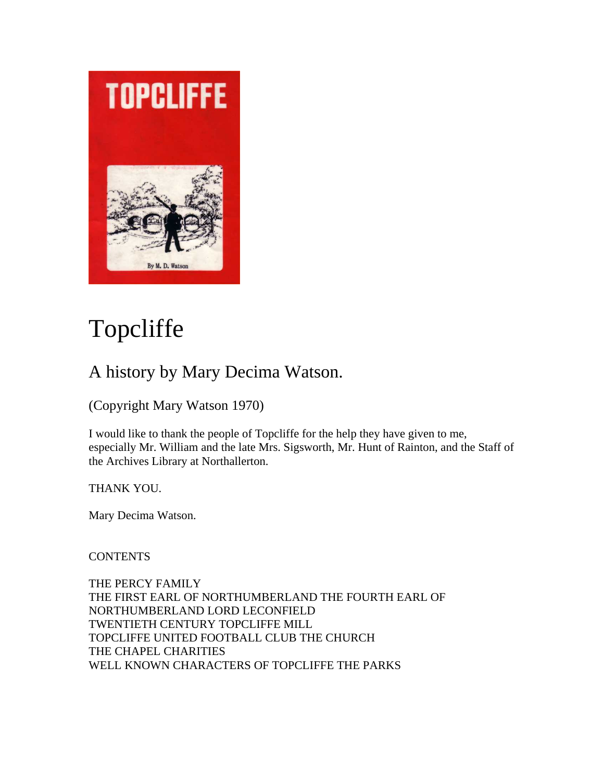

# Topcliffe

# A history by Mary Decima Watson.

(Copyright Mary Watson 1970)

I would like to thank the people of Topcliffe for the help they have given to me, especially Mr. William and the late Mrs. Sigsworth, Mr. Hunt of Rainton, and the Staff of the Archives Library at Northallerton.

THANK YOU.

Mary Decima Watson.

**CONTENTS** 

THE PERCY FAMILY THE FIRST EARL OF NORTHUMBERLAND THE FOURTH EARL OF NORTHUMBERLAND LORD LECONFIELD TWENTIETH CENTURY TOPCLIFFE MILL TOPCLIFFE UNITED FOOTBALL CLUB THE CHURCH THE CHAPEL CHARITIES WELL KNOWN CHARACTERS OF TOPCLIFFE THE PARKS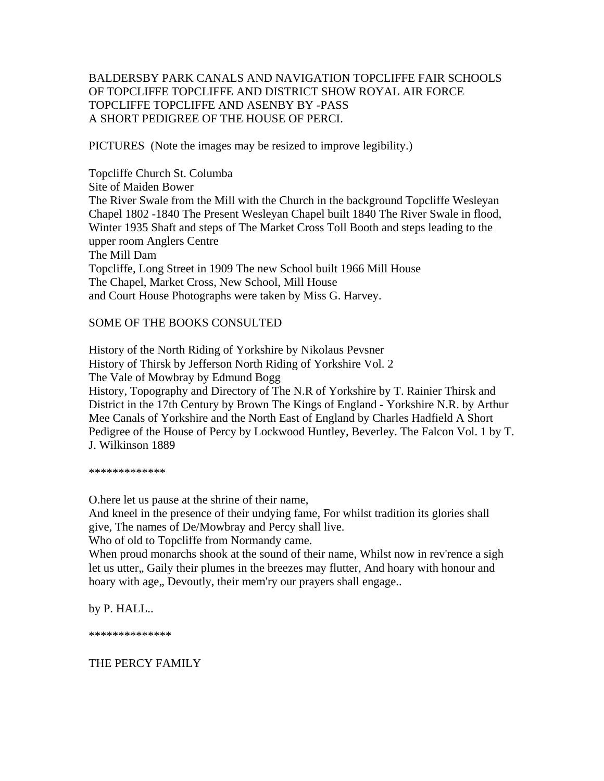# BALDERSBY PARK CANALS AND NAVIGATION TOPCLIFFE FAIR SCHOOLS OF TOPCLIFFE TOPCLIFFE AND DISTRICT SHOW ROYAL AIR FORCE TOPCLIFFE TOPCLIFFE AND ASENBY BY -PASS A SHORT PEDIGREE OF THE HOUSE OF PERCI.

PICTURES (Note the images may be resized to improve legibility.)

Topcliffe Church St. Columba Site of Maiden Bower The River Swale from the Mill with the Church in the background Topcliffe Wesleyan Chapel 1802 -1840 The Present Wesleyan Chapel built 1840 The River Swale in flood, Winter 1935 Shaft and steps of The Market Cross Toll Booth and steps leading to the upper room Anglers Centre The Mill Dam Topcliffe, Long Street in 1909 The new School built 1966 Mill House The Chapel, Market Cross, New School, Mill House and Court House Photographs were taken by Miss G. Harvey.

#### SOME OF THE BOOKS CONSULTED

History of the North Riding of Yorkshire by Nikolaus Pevsner History of Thirsk by Jefferson North Riding of Yorkshire Vol. 2 The Vale of Mowbray by Edmund Bogg History, Topography and Directory of The N.R of Yorkshire by T. Rainier Thirsk and District in the 17th Century by Brown The Kings of England - Yorkshire N.R. by Arthur Mee Canals of Yorkshire and the North East of England by Charles Hadfield A Short Pedigree of the House of Percy by Lockwood Huntley, Beverley. The Falcon Vol. 1 by T. J. Wilkinson 1889

\*\*\*\*\*\*\*\*\*\*\*

O.here let us pause at the shrine of their name,

And kneel in the presence of their undying fame, For whilst tradition its glories shall give, The names of De/Mowbray and Percy shall live.

Who of old to Topcliffe from Normandy came.

When proud monarchs shook at the sound of their name, Whilst now in rev'rence a sigh let us utter,, Gaily their plumes in the breezes may flutter, And hoary with honour and hoary with age,, Devoutly, their mem'ry our prayers shall engage..

by P. HALL..

\*\*\*\*\*\*\*\*\*\*\*\*\*\*

# THE PERCY FAMILY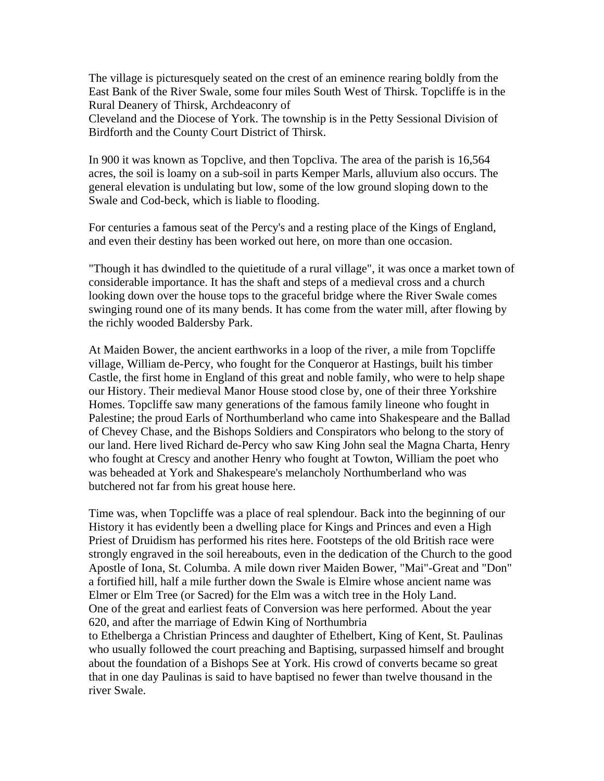The village is picturesquely seated on the crest of an eminence rearing boldly from the East Bank of the River Swale, some four miles South West of Thirsk. Topcliffe is in the Rural Deanery of Thirsk, Archdeaconry of

Cleveland and the Diocese of York. The township is in the Petty Sessional Division of Birdforth and the County Court District of Thirsk.

In 900 it was known as Topclive, and then Topcliva. The area of the parish is 16,564 acres, the soil is loamy on a sub-soil in parts Kemper Marls, alluvium also occurs. The general elevation is undulating but low, some of the low ground sloping down to the Swale and Cod-beck, which is liable to flooding.

For centuries a famous seat of the Percy's and a resting place of the Kings of England, and even their destiny has been worked out here, on more than one occasion.

"Though it has dwindled to the quietitude of a rural village", it was once a market town of considerable importance. It has the shaft and steps of a medieval cross and a church looking down over the house tops to the graceful bridge where the River Swale comes swinging round one of its many bends. It has come from the water mill, after flowing by the richly wooded Baldersby Park.

At Maiden Bower, the ancient earthworks in a loop of the river, a mile from Topcliffe village, William de-Percy, who fought for the Conqueror at Hastings, built his timber Castle, the first home in England of this great and noble family, who were to help shape our History. Their medieval Manor House stood close by, one of their three Yorkshire Homes. Topcliffe saw many generations of the famous family lineone who fought in Palestine; the proud Earls of Northumberland who came into Shakespeare and the Ballad of Chevey Chase, and the Bishops Soldiers and Conspirators who belong to the story of our land. Here lived Richard de-Percy who saw King John seal the Magna Charta, Henry who fought at Crescy and another Henry who fought at Towton, William the poet who was beheaded at York and Shakespeare's melancholy Northumberland who was butchered not far from his great house here.

Time was, when Topcliffe was a place of real splendour. Back into the beginning of our History it has evidently been a dwelling place for Kings and Princes and even a High Priest of Druidism has performed his rites here. Footsteps of the old British race were strongly engraved in the soil hereabouts, even in the dedication of the Church to the good Apostle of Iona, St. Columba. A mile down river Maiden Bower, "Mai"-Great and "Don" a fortified hill, half a mile further down the Swale is Elmire whose ancient name was Elmer or Elm Tree (or Sacred) for the Elm was a witch tree in the Holy Land. One of the great and earliest feats of Conversion was here performed. About the year 620, and after the marriage of Edwin King of Northumbria to Ethelberga a Christian Princess and daughter of Ethelbert, King of Kent, St. Paulinas

who usually followed the court preaching and Baptising, surpassed himself and brought about the foundation of a Bishops See at York. His crowd of converts became so great that in one day Paulinas is said to have baptised no fewer than twelve thousand in the river Swale.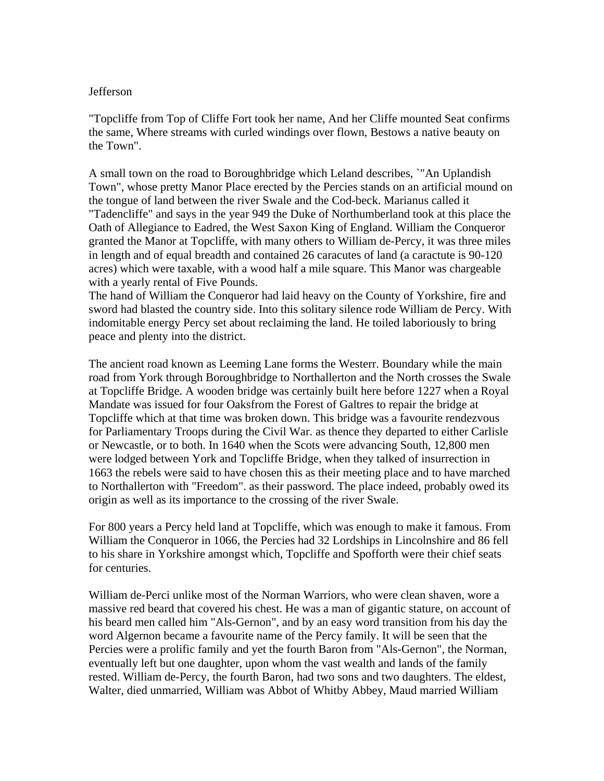#### Jefferson

"Topcliffe from Top of Cliffe Fort took her name, And her Cliffe mounted Seat confirms the same, Where streams with curled windings over flown, Bestows a native beauty on the Town".

A small town on the road to Boroughbridge which Leland describes, `"An Uplandish Town", whose pretty Manor Place erected by the Percies stands on an artificial mound on the tongue of land between the river Swale and the Cod-beck. Marianus called it "Tadencliffe" and says in the year 949 the Duke of Northumberland took at this place the Oath of Allegiance to Eadred, the West Saxon King of England. William the Conqueror granted the Manor at Topcliffe, with many others to William de-Percy, it was three miles in length and of equal breadth and contained 26 caracutes of land (a caractute is 90-120 acres) which were taxable, with a wood half a mile square. This Manor was chargeable with a yearly rental of Five Pounds.

The hand of William the Conqueror had laid heavy on the County of Yorkshire, fire and sword had blasted the country side. Into this solitary silence rode William de Percy. With indomitable energy Percy set about reclaiming the land. He toiled laboriously to bring peace and plenty into the district.

The ancient road known as Leeming Lane forms the Westerr. Boundary while the main road from York through Boroughbridge to Northallerton and the North crosses the Swale at Topcliffe Bridge. A wooden bridge was certainly built here before 1227 when a Royal Mandate was issued for four Oaksfrom the Forest of Galtres to repair the bridge at Topcliffe which at that time was broken down. This bridge was a favourite rendezvous for Parliamentary Troops during the Civil War. as thence they departed to either Carlisle or Newcastle, or to both. In 1640 when the Scots were advancing South, 12,800 men were lodged between York and Topcliffe Bridge, when they talked of insurrection in 1663 the rebels were said to have chosen this as their meeting place and to have marched to Northallerton with "Freedom". as their password. The place indeed, probably owed its origin as well as its importance to the crossing of the river Swale.

For 800 years a Percy held land at Topcliffe, which was enough to make it famous. From William the Conqueror in 1066, the Percies had 32 Lordships in Lincolnshire and 86 fell to his share in Yorkshire amongst which, Topcliffe and Spofforth were their chief seats for centuries.

William de-Perci unlike most of the Norman Warriors, who were clean shaven, wore a massive red beard that covered his chest. He was a man of gigantic stature, on account of his beard men called him "Als-Gernon", and by an easy word transition from his day the word Algernon became a favourite name of the Percy family. It will be seen that the Percies were a prolific family and yet the fourth Baron from "Als-Gernon", the Norman, eventually left but one daughter, upon whom the vast wealth and lands of the family rested. William de-Percy, the fourth Baron, had two sons and two daughters. The eldest, Walter, died unmarried, William was Abbot of Whitby Abbey, Maud married William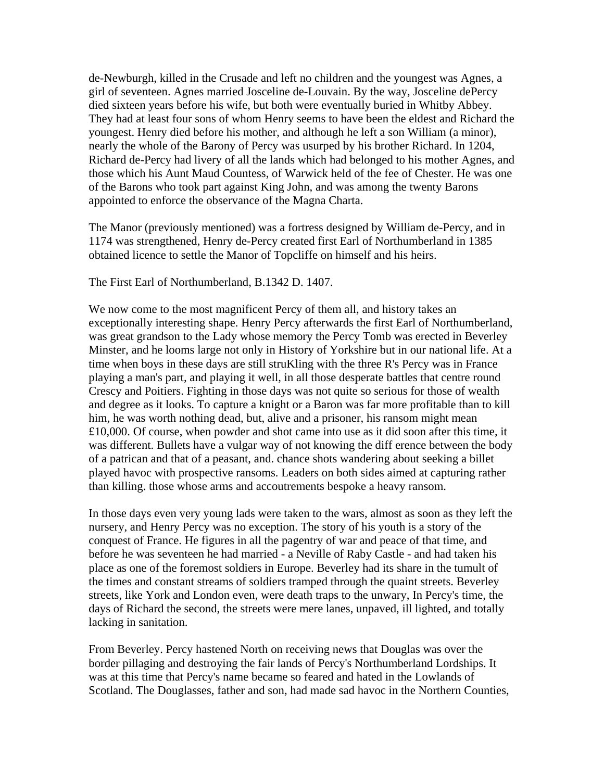de-Newburgh, killed in the Crusade and left no children and the youngest was Agnes, a girl of seventeen. Agnes married Josceline de-Louvain. By the way, Josceline dePercy died sixteen years before his wife, but both were eventually buried in Whitby Abbey. They had at least four sons of whom Henry seems to have been the eldest and Richard the youngest. Henry died before his mother, and although he left a son William (a minor), nearly the whole of the Barony of Percy was usurped by his brother Richard. In 1204, Richard de-Percy had livery of all the lands which had belonged to his mother Agnes, and those which his Aunt Maud Countess, of Warwick held of the fee of Chester. He was one of the Barons who took part against King John, and was among the twenty Barons appointed to enforce the observance of the Magna Charta.

The Manor (previously mentioned) was a fortress designed by William de-Percy, and in 1174 was strengthened, Henry de-Percy created first Earl of Northumberland in 1385 obtained licence to settle the Manor of Topcliffe on himself and his heirs.

The First Earl of Northumberland, B.1342 D. 1407.

We now come to the most magnificent Percy of them all, and history takes an exceptionally interesting shape. Henry Percy afterwards the first Earl of Northumberland, was great grandson to the Lady whose memory the Percy Tomb was erected in Beverley Minster, and he looms large not only in History of Yorkshire but in our national life. At a time when boys in these days are still struKling with the three R's Percy was in France playing a man's part, and playing it well, in all those desperate battles that centre round Crescy and Poitiers. Fighting in those days was not quite so serious for those of wealth and degree as it looks. To capture a knight or a Baron was far more profitable than to kill him, he was worth nothing dead, but, alive and a prisoner, his ransom might mean £10,000. Of course, when powder and shot came into use as it did soon after this time, it was different. Bullets have a vulgar way of not knowing the diff erence between the body of a patrican and that of a peasant, and. chance shots wandering about seeking a billet played havoc with prospective ransoms. Leaders on both sides aimed at capturing rather than killing. those whose arms and accoutrements bespoke a heavy ransom.

In those days even very young lads were taken to the wars, almost as soon as they left the nursery, and Henry Percy was no exception. The story of his youth is a story of the conquest of France. He figures in all the pagentry of war and peace of that time, and before he was seventeen he had married - a Neville of Raby Castle - and had taken his place as one of the foremost soldiers in Europe. Beverley had its share in the tumult of the times and constant streams of soldiers tramped through the quaint streets. Beverley streets, like York and London even, were death traps to the unwary, In Percy's time, the days of Richard the second, the streets were mere lanes, unpaved, ill lighted, and totally lacking in sanitation.

From Beverley. Percy hastened North on receiving news that Douglas was over the border pillaging and destroying the fair lands of Percy's Northumberland Lordships. It was at this time that Percy's name became so feared and hated in the Lowlands of Scotland. The Douglasses, father and son, had made sad havoc in the Northern Counties,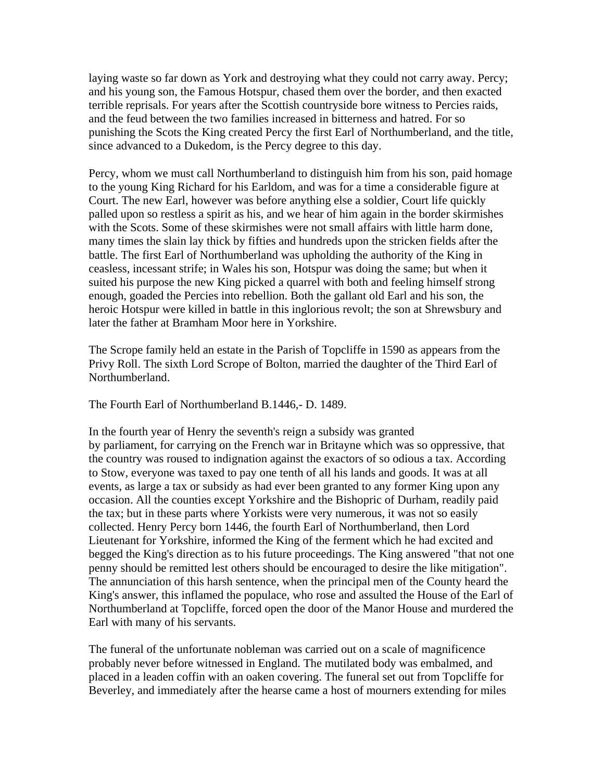laying waste so far down as York and destroying what they could not carry away. Percy; and his young son, the Famous Hotspur, chased them over the border, and then exacted terrible reprisals. For years after the Scottish countryside bore witness to Percies raids, and the feud between the two families increased in bitterness and hatred. For so punishing the Scots the King created Percy the first Earl of Northumberland, and the title, since advanced to a Dukedom, is the Percy degree to this day.

Percy, whom we must call Northumberland to distinguish him from his son, paid homage to the young King Richard for his Earldom, and was for a time a considerable figure at Court. The new Earl, however was before anything else a soldier, Court life quickly palled upon so restless a spirit as his, and we hear of him again in the border skirmishes with the Scots. Some of these skirmishes were not small affairs with little harm done, many times the slain lay thick by fifties and hundreds upon the stricken fields after the battle. The first Earl of Northumberland was upholding the authority of the King in ceasless, incessant strife; in Wales his son, Hotspur was doing the same; but when it suited his purpose the new King picked a quarrel with both and feeling himself strong enough, goaded the Percies into rebellion. Both the gallant old Earl and his son, the heroic Hotspur were killed in battle in this inglorious revolt; the son at Shrewsbury and later the father at Bramham Moor here in Yorkshire.

The Scrope family held an estate in the Parish of Topcliffe in 1590 as appears from the Privy Roll. The sixth Lord Scrope of Bolton, married the daughter of the Third Earl of Northumberland.

The Fourth Earl of Northumberland B.1446,- D. 1489.

In the fourth year of Henry the seventh's reign a subsidy was granted by parliament, for carrying on the French war in Britayne which was so oppressive, that the country was roused to indignation against the exactors of so odious a tax. According to Stow, everyone was taxed to pay one tenth of all his lands and goods. It was at all events, as large a tax or subsidy as had ever been granted to any former King upon any occasion. All the counties except Yorkshire and the Bishopric of Durham, readily paid the tax; but in these parts where Yorkists were very numerous, it was not so easily collected. Henry Percy born 1446, the fourth Earl of Northumberland, then Lord Lieutenant for Yorkshire, informed the King of the ferment which he had excited and begged the King's direction as to his future proceedings. The King answered "that not one penny should be remitted lest others should be encouraged to desire the like mitigation". The annunciation of this harsh sentence, when the principal men of the County heard the King's answer, this inflamed the populace, who rose and assulted the House of the Earl of Northumberland at Topcliffe, forced open the door of the Manor House and murdered the Earl with many of his servants.

The funeral of the unfortunate nobleman was carried out on a scale of magnificence probably never before witnessed in England. The mutilated body was embalmed, and placed in a leaden coffin with an oaken covering. The funeral set out from Topcliffe for Beverley, and immediately after the hearse came a host of mourners extending for miles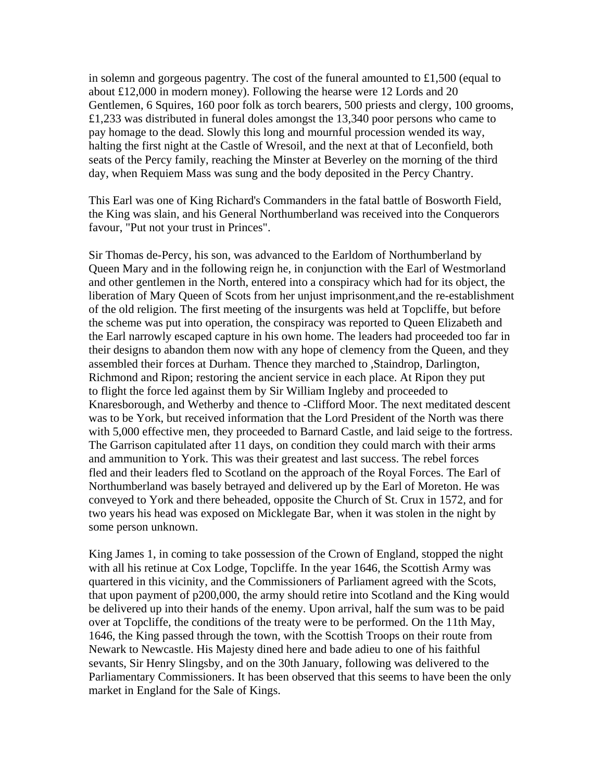in solemn and gorgeous pagentry. The cost of the funeral amounted to £1,500 (equal to about £12,000 in modern money). Following the hearse were 12 Lords and 20 Gentlemen, 6 Squires, 160 poor folk as torch bearers, 500 priests and clergy, 100 grooms, £1,233 was distributed in funeral doles amongst the 13,340 poor persons who came to pay homage to the dead. Slowly this long and mournful procession wended its way, halting the first night at the Castle of Wresoil, and the next at that of Leconfield, both seats of the Percy family, reaching the Minster at Beverley on the morning of the third day, when Requiem Mass was sung and the body deposited in the Percy Chantry.

This Earl was one of King Richard's Commanders in the fatal battle of Bosworth Field, the King was slain, and his General Northumberland was received into the Conquerors favour, "Put not your trust in Princes".

Sir Thomas de-Percy, his son, was advanced to the Earldom of Northumberland by Queen Mary and in the following reign he, in conjunction with the Earl of Westmorland and other gentlemen in the North, entered into a conspiracy which had for its object, the liberation of Mary Queen of Scots from her unjust imprisonment,and the re-establishment of the old religion. The first meeting of the insurgents was held at Topcliffe, but before the scheme was put into operation, the conspiracy was reported to Queen Elizabeth and the Earl narrowly escaped capture in his own home. The leaders had proceeded too far in their designs to abandon them now with any hope of clemency from the Queen, and they assembled their forces at Durham. Thence they marched to ,Staindrop, Darlington, Richmond and Ripon; restoring the ancient service in each place. At Ripon they put to flight the force led against them by Sir William Ingleby and proceeded to Knaresborough, and Wetherby and thence to -Clifford Moor. The next meditated descent was to be York, but received information that the Lord President of the North was there with 5,000 effective men, they proceeded to Barnard Castle, and laid seige to the fortress. The Garrison capitulated after 11 days, on condition they could march with their arms and ammunition to York. This was their greatest and last success. The rebel forces fled and their leaders fled to Scotland on the approach of the Royal Forces. The Earl of Northumberland was basely betrayed and delivered up by the Earl of Moreton. He was conveyed to York and there beheaded, opposite the Church of St. Crux in 1572, and for two years his head was exposed on Micklegate Bar, when it was stolen in the night by some person unknown.

King James 1, in coming to take possession of the Crown of England, stopped the night with all his retinue at Cox Lodge, Topcliffe. In the year 1646, the Scottish Army was quartered in this vicinity, and the Commissioners of Parliament agreed with the Scots, that upon payment of p200,000, the army should retire into Scotland and the King would be delivered up into their hands of the enemy. Upon arrival, half the sum was to be paid over at Topcliffe, the conditions of the treaty were to be performed. On the 11th May, 1646, the King passed through the town, with the Scottish Troops on their route from Newark to Newcastle. His Majesty dined here and bade adieu to one of his faithful sevants, Sir Henry Slingsby, and on the 30th January, following was delivered to the Parliamentary Commissioners. It has been observed that this seems to have been the only market in England for the Sale of Kings.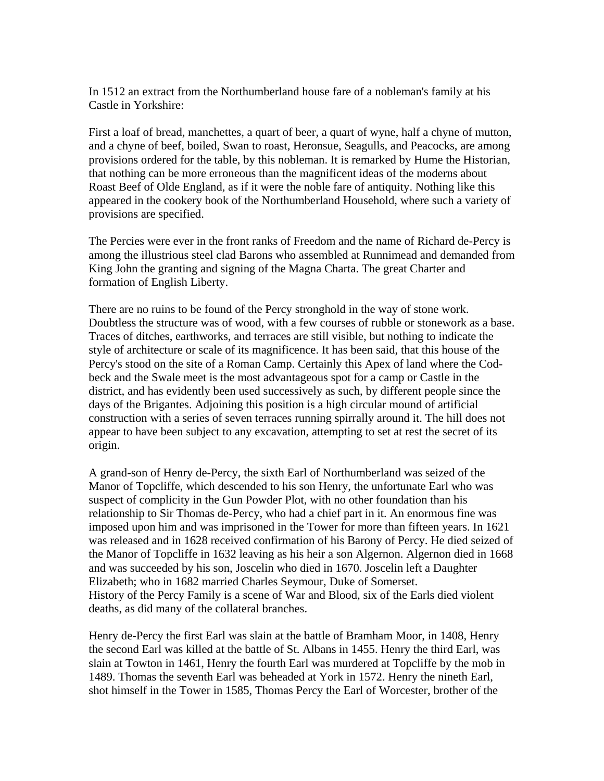In 1512 an extract from the Northumberland house fare of a nobleman's family at his Castle in Yorkshire:

First a loaf of bread, manchettes, a quart of beer, a quart of wyne, half a chyne of mutton, and a chyne of beef, boiled, Swan to roast, Heronsue, Seagulls, and Peacocks, are among provisions ordered for the table, by this nobleman. It is remarked by Hume the Historian, that nothing can be more erroneous than the magnificent ideas of the moderns about Roast Beef of Olde England, as if it were the noble fare of antiquity. Nothing like this appeared in the cookery book of the Northumberland Household, where such a variety of provisions are specified.

The Percies were ever in the front ranks of Freedom and the name of Richard de-Percy is among the illustrious steel clad Barons who assembled at Runnimead and demanded from King John the granting and signing of the Magna Charta. The great Charter and formation of English Liberty.

There are no ruins to be found of the Percy stronghold in the way of stone work. Doubtless the structure was of wood, with a few courses of rubble or stonework as a base. Traces of ditches, earthworks, and terraces are still visible, but nothing to indicate the style of architecture or scale of its magnificence. It has been said, that this house of the Percy's stood on the site of a Roman Camp. Certainly this Apex of land where the Codbeck and the Swale meet is the most advantageous spot for a camp or Castle in the district, and has evidently been used successively as such, by different people since the days of the Brigantes. Adjoining this position is a high circular mound of artificial construction with a series of seven terraces running spirrally around it. The hill does not appear to have been subject to any excavation, attempting to set at rest the secret of its origin.

A grand-son of Henry de-Percy, the sixth Earl of Northumberland was seized of the Manor of Topcliffe, which descended to his son Henry, the unfortunate Earl who was suspect of complicity in the Gun Powder Plot, with no other foundation than his relationship to Sir Thomas de-Percy, who had a chief part in it. An enormous fine was imposed upon him and was imprisoned in the Tower for more than fifteen years. In 1621 was released and in 1628 received confirmation of his Barony of Percy. He died seized of the Manor of Topcliffe in 1632 leaving as his heir a son Algernon. Algernon died in 1668 and was succeeded by his son, Joscelin who died in 1670. Joscelin left a Daughter Elizabeth; who in 1682 married Charles Seymour, Duke of Somerset. History of the Percy Family is a scene of War and Blood, six of the Earls died violent deaths, as did many of the collateral branches.

Henry de-Percy the first Earl was slain at the battle of Bramham Moor, in 1408, Henry the second Earl was killed at the battle of St. Albans in 1455. Henry the third Earl, was slain at Towton in 1461, Henry the fourth Earl was murdered at Topcliffe by the mob in 1489. Thomas the seventh Earl was beheaded at York in 1572. Henry the nineth Earl, shot himself in the Tower in 1585, Thomas Percy the Earl of Worcester, brother of the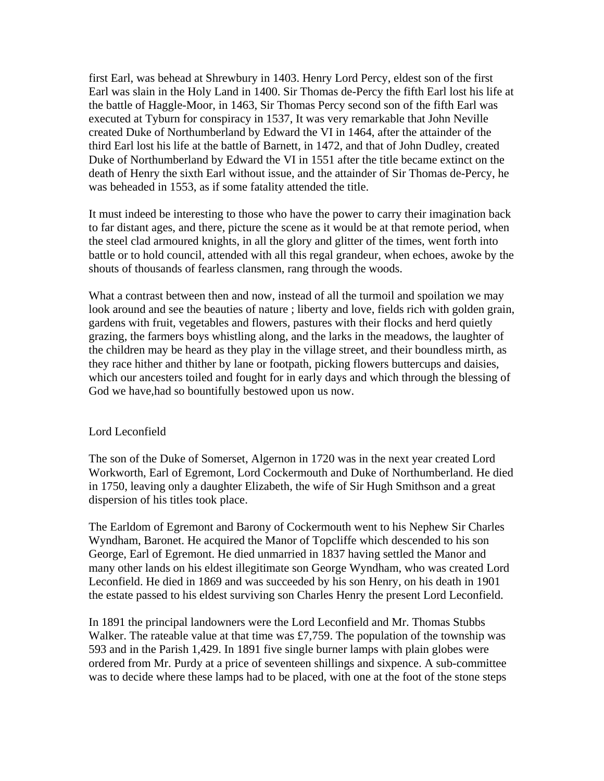first Earl, was behead at Shrewbury in 1403. Henry Lord Percy, eldest son of the first Earl was slain in the Holy Land in 1400. Sir Thomas de-Percy the fifth Earl lost his life at the battle of Haggle-Moor, in 1463, Sir Thomas Percy second son of the fifth Earl was executed at Tyburn for conspiracy in 1537, It was very remarkable that John Neville created Duke of Northumberland by Edward the VI in 1464, after the attainder of the third Earl lost his life at the battle of Barnett, in 1472, and that of John Dudley, created Duke of Northumberland by Edward the VI in 1551 after the title became extinct on the death of Henry the sixth Earl without issue, and the attainder of Sir Thomas de-Percy, he was beheaded in 1553, as if some fatality attended the title.

It must indeed be interesting to those who have the power to carry their imagination back to far distant ages, and there, picture the scene as it would be at that remote period, when the steel clad armoured knights, in all the glory and glitter of the times, went forth into battle or to hold council, attended with all this regal grandeur, when echoes, awoke by the shouts of thousands of fearless clansmen, rang through the woods.

What a contrast between then and now, instead of all the turmoil and spoilation we may look around and see the beauties of nature; liberty and love, fields rich with golden grain, gardens with fruit, vegetables and flowers, pastures with their flocks and herd quietly grazing, the farmers boys whistling along, and the larks in the meadows, the laughter of the children may be heard as they play in the village street, and their boundless mirth, as they race hither and thither by lane or footpath, picking flowers buttercups and daisies, which our ancesters toiled and fought for in early days and which through the blessing of God we have,had so bountifully bestowed upon us now.

# Lord Leconfield

The son of the Duke of Somerset, Algernon in 1720 was in the next year created Lord Workworth, Earl of Egremont, Lord Cockermouth and Duke of Northumberland. He died in 1750, leaving only a daughter Elizabeth, the wife of Sir Hugh Smithson and a great dispersion of his titles took place.

The Earldom of Egremont and Barony of Cockermouth went to his Nephew Sir Charles Wyndham, Baronet. He acquired the Manor of Topcliffe which descended to his son George, Earl of Egremont. He died unmarried in 1837 having settled the Manor and many other lands on his eldest illegitimate son George Wyndham, who was created Lord Leconfield. He died in 1869 and was succeeded by his son Henry, on his death in 1901 the estate passed to his eldest surviving son Charles Henry the present Lord Leconfield.

In 1891 the principal landowners were the Lord Leconfield and Mr. Thomas Stubbs Walker. The rateable value at that time was £7,759. The population of the township was 593 and in the Parish 1,429. In 1891 five single burner lamps with plain globes were ordered from Mr. Purdy at a price of seventeen shillings and sixpence. A sub-committee was to decide where these lamps had to be placed, with one at the foot of the stone steps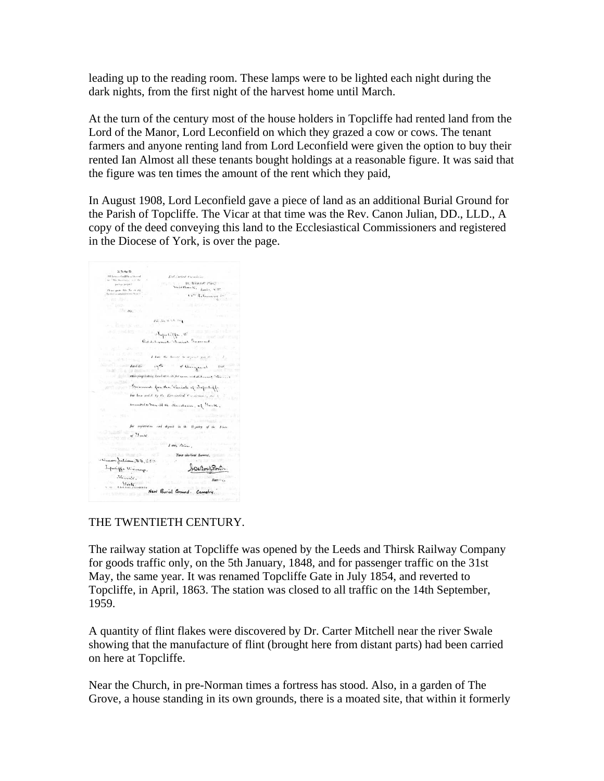leading up to the reading room. These lamps were to be lighted each night during the dark nights, from the first night of the harvest home until March.

At the turn of the century most of the house holders in Topcliffe had rented land from the Lord of the Manor, Lord Leconfield on which they grazed a cow or cows. The tenant farmers and anyone renting land from Lord Leconfield were given the option to buy their rented Ian Almost all these tenants bought holdings at a reasonable figure. It was said that the figure was ten times the amount of the rent which they paid,

In August 1908, Lord Leconfield gave a piece of land as an additional Burial Ground for the Parish of Topcliffe. The Vicar at that time was the Rev. Canon Julian, DD., LLD., A copy of the deed conveying this land to the Ecclesiastical Commissioners and registered in the Diocese of York, is over the page.

 $\label{eq:1} \vec{P}(\vec{u}), \vec{z}(\vec{u}) \vec{v}(\vec{u}) \in \vec{C}(\vec{u})$ in this section is a  $\mathcal{O}_\mathcal{O}$  . The B-R-SP Plate of the second point of the second section is a  $\mathcal{O}_\mathcal{O}$  . We consider the second section is a second below of the second section is a second below  $\mathcal{O}_\mathcal{O}$  $P\bar{m}$  ,<br>  $\bar{m}_0$  is  $\sim$  0. 8 s  $\bar{\chi}$ and the state of the state of the state of the state of the state of the state of the state of the state of the state of the state of the state of the state of the state of the state of the state of the state of the state  $\left\langle \begin{array}{ccccc} 0 & 0 & 0 \\ 0 & 0 & 0 \end{array} \right\rangle_{\rm free}$  . If there are the degrees of the spectral spectra  $H_{\rm eff} = 0.5$  $I(\text{have the above by a group, if } \rho, \alpha, \beta) = -I(\text{and if } \beta) = -I(\text{and if } \beta) = -I(\text{and if } \beta) = -I(\text{and if } \beta) = -I(\text{and if } \beta) = -I(\text{and if } \beta) = -I(\text{and if } \beta) = -I(\text{and if } \beta) = -I(\text{and if } \beta) = -I(\text{and if } \beta) = -I(\text{and if } \beta) = -I(\text{and if } \beta) = -I(\text{and if } \beta) = -I(\text{and if } \beta) = -I(\text{and if } \beta) = -I(\text{and if } \beta) = -I(\text{$ ा । सन्दर्भ सामग्रीहरूले । सन्दर्भ सामग्रीहरूले अस्ति । सन्दर्भ सामग्रीहरूले । सन्दर्भ सामग्रीहरूले ।<br>अस्ति । सामग्रीहरूले अस्ति । सन्दर्भ सामग्रीहरूले । सन्दर्भ सामग्रीहरूले । सन्दर्भ सामग्रीहरूले । सन्दर्भ सामग The Greenwell for the Turisle of Topoloff - Second for the Parish of I<br>by his side by the Bordeston Parish<br>- by his side by the Bordeston Parish concentration from  $M$  at the column, of  $M_{\rm w}, K$ , for registration and deposit in the Registry of the Pines  $\frac{\partial \left[\gamma_{\text{in}}\right](\eta)}{\partial \eta_{\text{out}}\partial \eta_{\text{out}}}\left(\eta\right)\frac{\partial \left[\gamma_{\text{out}}\right]}{\partial \eta_{\text{out}}}\right)$  $I$  and  $\Delta L$ .  $\frac{1}{2}$   $\frac{1}{2}$   $\frac{1}{2}$   $\frac{1}{2}$   $\frac{1}{2}$   $\frac{1}{2}$   $\frac{1}{2}$   $\frac{1}{2}$   $\frac{1}{2}$   $\frac{1}{2}$   $\frac{1}{2}$   $\frac{1}{2}$   $\frac{1}{2}$   $\frac{1}{2}$   $\frac{1}{2}$   $\frac{1}{2}$   $\frac{1}{2}$   $\frac{1}{2}$   $\frac{1}{2}$   $\frac{1}{2}$   $\frac{1}{2}$   $\frac{1}{2}$  CIL 10 0 march from De Senator D. 117.<br>Inferific Vienner. Joseph Sortier.<br>Starte. Starting (Service Starting Press)<br>Starting (Service Press) (Service Complete)<br>Starting (Service Press) (Service Press)

# THE TWENTIETH CENTURY.

The railway station at Topcliffe was opened by the Leeds and Thirsk Railway Company for goods traffic only, on the 5th January, 1848, and for passenger traffic on the 31st May, the same year. It was renamed Topcliffe Gate in July 1854, and reverted to Topcliffe, in April, 1863. The station was closed to all traffic on the 14th September, 1959.

A quantity of flint flakes were discovered by Dr. Carter Mitchell near the river Swale showing that the manufacture of flint (brought here from distant parts) had been carried on here at Topcliffe.

Near the Church, in pre-Norman times a fortress has stood. Also, in a garden of The Grove, a house standing in its own grounds, there is a moated site, that within it formerly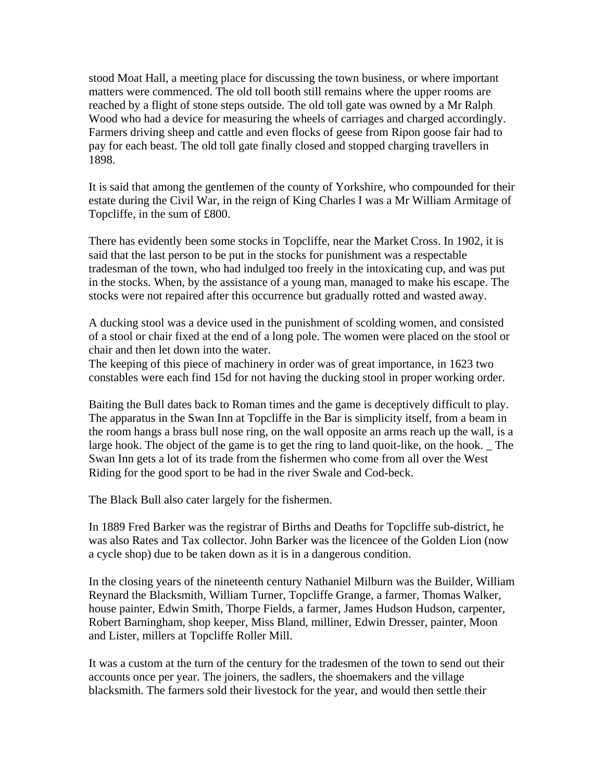stood Moat Hall, a meeting place for discussing the town business, or where important matters were commenced. The old toll booth still remains where the upper rooms are reached by a flight of stone steps outside. The old toll gate was owned by a Mr Ralph Wood who had a device for measuring the wheels of carriages and charged accordingly. Farmers driving sheep and cattle and even flocks of geese from Ripon goose fair had to pay for each beast. The old toll gate finally closed and stopped charging travellers in 1898.

It is said that among the gentlemen of the county of Yorkshire, who compounded for their estate during the Civil War, in the reign of King Charles I was a Mr William Armitage of Topcliffe, in the sum of £800.

There has evidently been some stocks in Topcliffe, near the Market Cross. In 1902, it is said that the last person to be put in the stocks for punishment was a respectable tradesman of the town, who had indulged too freely in the intoxicating cup, and was put in the stocks. When, by the assistance of a young man, managed to make his escape. The stocks were not repaired after this occurrence but gradually rotted and wasted away.

A ducking stool was a device used in the punishment of scolding women, and consisted of a stool or chair fixed at the end of a long pole. The women were placed on the stool or chair and then let down into the water.

The keeping of this piece of machinery in order was of great importance, in 1623 two constables were each find 15d for not having the ducking stool in proper working order.

Baiting the Bull dates back to Roman times and the game is deceptively difficult to play. The apparatus in the Swan Inn at Topcliffe in the Bar is simplicity itself, from a beam in the room hangs a brass bull nose ring, on the wall opposite an arms reach up the wall, is a large hook. The object of the game is to get the ring to land quoit-like, on the hook. The Swan Inn gets a lot of its trade from the fishermen who come from all over the West Riding for the good sport to be had in the river Swale and Cod-beck.

The Black Bull also cater largely for the fishermen.

In 1889 Fred Barker was the registrar of Births and Deaths for Topcliffe sub-district, he was also Rates and Tax collector. John Barker was the licencee of the Golden Lion (now a cycle shop) due to be taken down as it is in a dangerous condition.

In the closing years of the nineteenth century Nathaniel Milburn was the Builder, William Reynard the Blacksmith, William Turner, Topcliffe Grange, a farmer, Thomas Walker, house painter, Edwin Smith, Thorpe Fields, a farmer, James Hudson Hudson, carpenter, Robert Barningham, shop keeper, Miss Bland, milliner, Edwin Dresser, painter, Moon and Lister, millers at Topcliffe Roller Mill.

It was a custom at the turn of the century for the tradesmen of the town to send out their accounts once per year. The joiners, the sadlers, the shoemakers and the village blacksmith. The farmers sold their livestock for the year, and would then settle their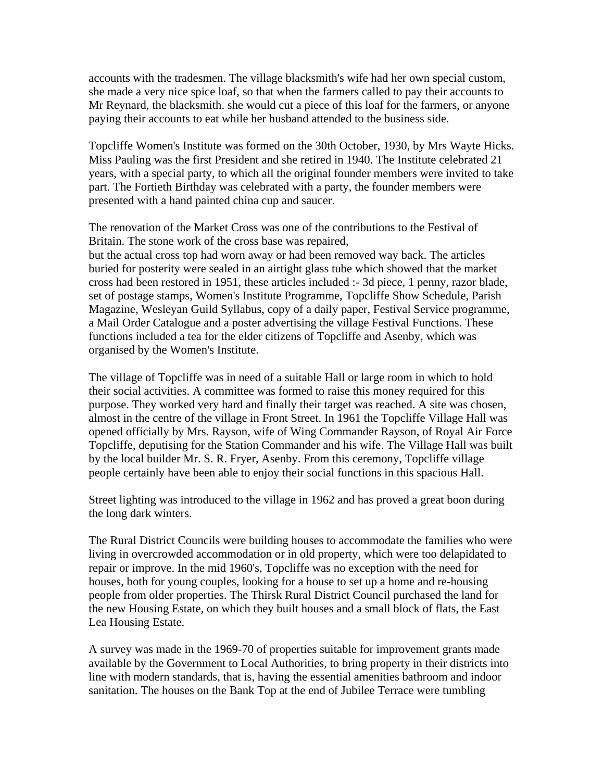accounts with the tradesmen. The village blacksmith's wife had her own special custom, she made a very nice spice loaf, so that when the farmers called to pay their accounts to Mr Reynard, the blacksmith. she would cut a piece of this loaf for the farmers, or anyone paying their accounts to eat while her husband attended to the business side.

Topcliffe Women's Institute was formed on the 30th October, 1930, by Mrs Wayte Hicks. Miss Pauling was the first President and she retired in 1940. The Institute celebrated 21 years, with a special party, to which all the original founder members were invited to take part. The Fortieth Birthday was celebrated with a party, the founder members were presented with a hand painted china cup and saucer.

The renovation of the Market Cross was one of the contributions to the Festival of Britain. The stone work of the cross base was repaired, but the actual cross top had worn away or had been removed way back. The articles buried for posterity were sealed in an airtight glass tube which showed that the market cross had been restored in 1951, these articles included :- 3d piece, 1 penny, razor blade, set of postage stamps, Women's Institute Programme, Topcliffe Show Schedule, Parish Magazine, Wesleyan Guild Syllabus, copy of a daily paper, Festival Service programme, a Mail Order Catalogue and a poster advertising the village Festival Functions. These functions included a tea for the elder citizens of Topcliffe and Asenby, which was organised by the Women's Institute.

The village of Topcliffe was in need of a suitable Hall or large room in which to hold their social activities. A committee was formed to raise this money required for this purpose. They worked very hard and finally their target was reached. A site was chosen, almost in the centre of the village in Front Street. In 1961 the Topcliffe Village Hall was opened officially by Mrs. Rayson, wife of Wing Commander Rayson, of Royal Air Force Topcliffe, deputising for the Station Commander and his wife. The Village Hall was built by the local builder Mr. S. R. Fryer, Asenby. From this ceremony, Topcliffe village people certainly have been able to enjoy their social functions in this spacious Hall.

Street lighting was introduced to the village in 1962 and has proved a great boon during the long dark winters.

The Rural District Councils were building houses to accommodate the families who were living in overcrowded accommodation or in old property, which were too delapidated to repair or improve. In the mid 1960's, Topcliffe was no exception with the need for houses, both for young couples, looking for a house to set up a home and re-housing people from older properties. The Thirsk Rural District Council purchased the land for the new Housing Estate, on which they built houses and a small block of flats, the East Lea Housing Estate.

A survey was made in the 1969-70 of properties suitable for improvement grants made available by the Government to Local Authorities, to bring property in their districts into line with modern standards, that is, having the essential amenities bathroom and indoor sanitation. The houses on the Bank Top at the end of Jubilee Terrace were tumbling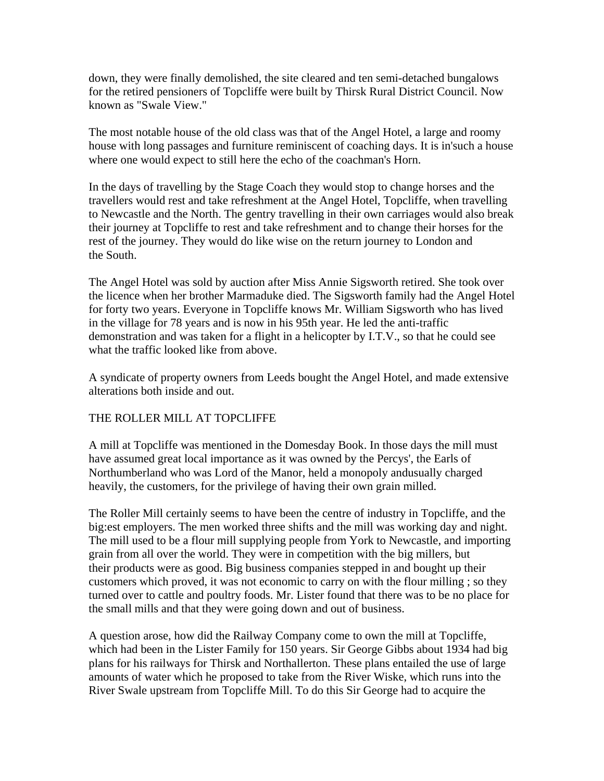down, they were finally demolished, the site cleared and ten semi-detached bungalows for the retired pensioners of Topcliffe were built by Thirsk Rural District Council. Now known as "Swale View."

The most notable house of the old class was that of the Angel Hotel, a large and roomy house with long passages and furniture reminiscent of coaching days. It is in'such a house where one would expect to still here the echo of the coachman's Horn.

In the days of travelling by the Stage Coach they would stop to change horses and the travellers would rest and take refreshment at the Angel Hotel, Topcliffe, when travelling to Newcastle and the North. The gentry travelling in their own carriages would also break their journey at Topcliffe to rest and take refreshment and to change their horses for the rest of the journey. They would do like wise on the return journey to London and the South.

The Angel Hotel was sold by auction after Miss Annie Sigsworth retired. She took over the licence when her brother Marmaduke died. The Sigsworth family had the Angel Hotel for forty two years. Everyone in Topcliffe knows Mr. William Sigsworth who has lived in the village for 78 years and is now in his 95th year. He led the anti-traffic demonstration and was taken for a flight in a helicopter by I.T.V., so that he could see what the traffic looked like from above.

A syndicate of property owners from Leeds bought the Angel Hotel, and made extensive alterations both inside and out.

# THE ROLLER MILL AT TOPCLIFFE

A mill at Topcliffe was mentioned in the Domesday Book. In those days the mill must have assumed great local importance as it was owned by the Percys', the Earls of Northumberland who was Lord of the Manor, held a monopoly andusually charged heavily, the customers, for the privilege of having their own grain milled.

The Roller Mill certainly seems to have been the centre of industry in Topcliffe, and the big:est employers. The men worked three shifts and the mill was working day and night. The mill used to be a flour mill supplying people from York to Newcastle, and importing grain from all over the world. They were in competition with the big millers, but their products were as good. Big business companies stepped in and bought up their customers which proved, it was not economic to carry on with the flour milling ; so they turned over to cattle and poultry foods. Mr. Lister found that there was to be no place for the small mills and that they were going down and out of business.

A question arose, how did the Railway Company come to own the mill at Topcliffe, which had been in the Lister Family for 150 years. Sir George Gibbs about 1934 had big plans for his railways for Thirsk and Northallerton. These plans entailed the use of large amounts of water which he proposed to take from the River Wiske, which runs into the River Swale upstream from Topcliffe Mill. To do this Sir George had to acquire the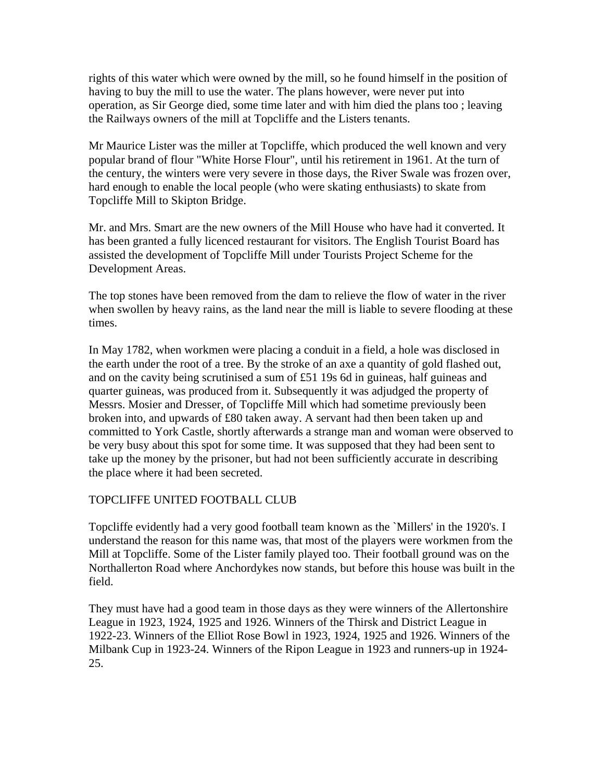rights of this water which were owned by the mill, so he found himself in the position of having to buy the mill to use the water. The plans however, were never put into operation, as Sir George died, some time later and with him died the plans too ; leaving the Railways owners of the mill at Topcliffe and the Listers tenants.

Mr Maurice Lister was the miller at Topcliffe, which produced the well known and very popular brand of flour "White Horse Flour", until his retirement in 1961. At the turn of the century, the winters were very severe in those days, the River Swale was frozen over, hard enough to enable the local people (who were skating enthusiasts) to skate from Topcliffe Mill to Skipton Bridge.

Mr. and Mrs. Smart are the new owners of the Mill House who have had it converted. It has been granted a fully licenced restaurant for visitors. The English Tourist Board has assisted the development of Topcliffe Mill under Tourists Project Scheme for the Development Areas.

The top stones have been removed from the dam to relieve the flow of water in the river when swollen by heavy rains, as the land near the mill is liable to severe flooding at these times.

In May 1782, when workmen were placing a conduit in a field, a hole was disclosed in the earth under the root of a tree. By the stroke of an axe a quantity of gold flashed out, and on the cavity being scrutinised a sum of £51 19s 6d in guineas, half guineas and quarter guineas, was produced from it. Subsequently it was adjudged the property of Messrs. Mosier and Dresser, of Topcliffe Mill which had sometime previously been broken into, and upwards of £80 taken away. A servant had then been taken up and committed to York Castle, shortly afterwards a strange man and woman were observed to be very busy about this spot for some time. It was supposed that they had been sent to take up the money by the prisoner, but had not been sufficiently accurate in describing the place where it had been secreted.

# TOPCLIFFE UNITED FOOTBALL CLUB

Topcliffe evidently had a very good football team known as the `Millers' in the 1920's. I understand the reason for this name was, that most of the players were workmen from the Mill at Topcliffe. Some of the Lister family played too. Their football ground was on the Northallerton Road where Anchordykes now stands, but before this house was built in the field.

They must have had a good team in those days as they were winners of the Allertonshire League in 1923, 1924, 1925 and 1926. Winners of the Thirsk and District League in 1922-23. Winners of the Elliot Rose Bowl in 1923, 1924, 1925 and 1926. Winners of the Milbank Cup in 1923-24. Winners of the Ripon League in 1923 and runners-up in 1924- 25.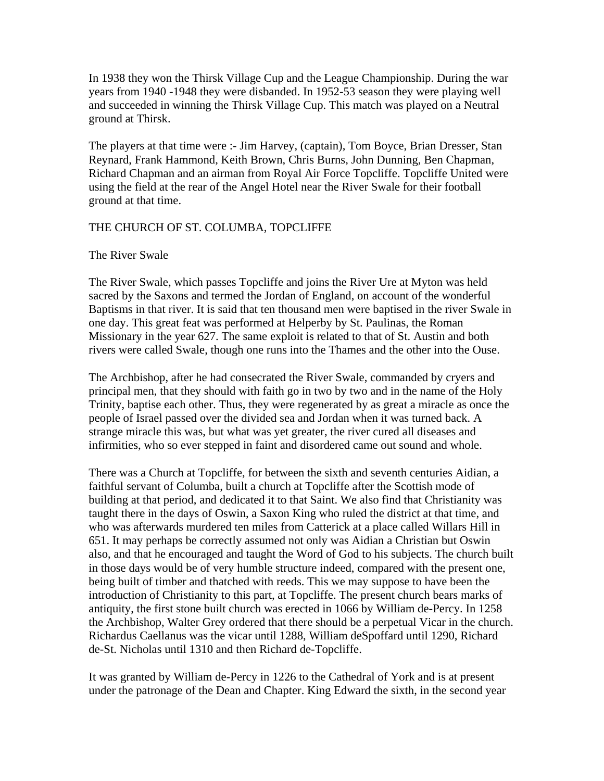In 1938 they won the Thirsk Village Cup and the League Championship. During the war years from 1940 -1948 they were disbanded. In 1952-53 season they were playing well and succeeded in winning the Thirsk Village Cup. This match was played on a Neutral ground at Thirsk.

The players at that time were :- Jim Harvey, (captain), Tom Boyce, Brian Dresser, Stan Reynard, Frank Hammond, Keith Brown, Chris Burns, John Dunning, Ben Chapman, Richard Chapman and an airman from Royal Air Force Topcliffe. Topcliffe United were using the field at the rear of the Angel Hotel near the River Swale for their football ground at that time.

# THE CHURCH OF ST. COLUMBA, TOPCLIFFE

# The River Swale

The River Swale, which passes Topcliffe and joins the River Ure at Myton was held sacred by the Saxons and termed the Jordan of England, on account of the wonderful Baptisms in that river. It is said that ten thousand men were baptised in the river Swale in one day. This great feat was performed at Helperby by St. Paulinas, the Roman Missionary in the year 627. The same exploit is related to that of St. Austin and both rivers were called Swale, though one runs into the Thames and the other into the Ouse.

The Archbishop, after he had consecrated the River Swale, commanded by cryers and principal men, that they should with faith go in two by two and in the name of the Holy Trinity, baptise each other. Thus, they were regenerated by as great a miracle as once the people of Israel passed over the divided sea and Jordan when it was turned back. A strange miracle this was, but what was yet greater, the river cured all diseases and infirmities, who so ever stepped in faint and disordered came out sound and whole.

There was a Church at Topcliffe, for between the sixth and seventh centuries Aidian, a faithful servant of Columba, built a church at Topcliffe after the Scottish mode of building at that period, and dedicated it to that Saint. We also find that Christianity was taught there in the days of Oswin, a Saxon King who ruled the district at that time, and who was afterwards murdered ten miles from Catterick at a place called Willars Hill in 651. It may perhaps be correctly assumed not only was Aidian a Christian but Oswin also, and that he encouraged and taught the Word of God to his subjects. The church built in those days would be of very humble structure indeed, compared with the present one, being built of timber and thatched with reeds. This we may suppose to have been the introduction of Christianity to this part, at Topcliffe. The present church bears marks of antiquity, the first stone built church was erected in 1066 by William de-Percy. In 1258 the Archbishop, Walter Grey ordered that there should be a perpetual Vicar in the church. Richardus Caellanus was the vicar until 1288, William deSpoffard until 1290, Richard de-St. Nicholas until 1310 and then Richard de-Topcliffe.

It was granted by William de-Percy in 1226 to the Cathedral of York and is at present under the patronage of the Dean and Chapter. King Edward the sixth, in the second year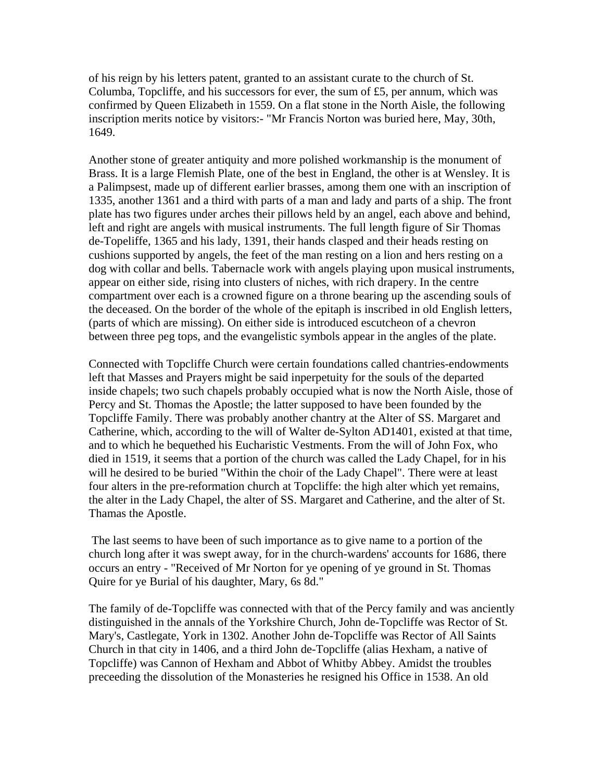of his reign by his letters patent, granted to an assistant curate to the church of St. Columba, Topcliffe, and his successors for ever, the sum of  $£5$ , per annum, which was confirmed by Queen Elizabeth in 1559. On a flat stone in the North Aisle, the following inscription merits notice by visitors:- "Mr Francis Norton was buried here, May, 30th, 1649.

Another stone of greater antiquity and more polished workmanship is the monument of Brass. It is a large Flemish Plate, one of the best in England, the other is at Wensley. It is a Palimpsest, made up of different earlier brasses, among them one with an inscription of 1335, another 1361 and a third with parts of a man and lady and parts of a ship. The front plate has two figures under arches their pillows held by an angel, each above and behind, left and right are angels with musical instruments. The full length figure of Sir Thomas de-Topeliffe, 1365 and his lady, 1391, their hands clasped and their heads resting on cushions supported by angels, the feet of the man resting on a lion and hers resting on a dog with collar and bells. Tabernacle work with angels playing upon musical instruments, appear on either side, rising into clusters of niches, with rich drapery. In the centre compartment over each is a crowned figure on a throne bearing up the ascending souls of the deceased. On the border of the whole of the epitaph is inscribed in old English letters, (parts of which are missing). On either side is introduced escutcheon of a chevron between three peg tops, and the evangelistic symbols appear in the angles of the plate.

Connected with Topcliffe Church were certain foundations called chantries-endowments left that Masses and Prayers might be said inperpetuity for the souls of the departed inside chapels; two such chapels probably occupied what is now the North Aisle, those of Percy and St. Thomas the Apostle; the latter supposed to have been founded by the Topcliffe Family. There was probably another chantry at the Alter of SS. Margaret and Catherine, which, according to the will of Walter de-Sylton AD1401, existed at that time, and to which he bequethed his Eucharistic Vestments. From the will of John Fox, who died in 1519, it seems that a portion of the church was called the Lady Chapel, for in his will he desired to be buried "Within the choir of the Lady Chapel". There were at least four alters in the pre-reformation church at Topcliffe: the high alter which yet remains, the alter in the Lady Chapel, the alter of SS. Margaret and Catherine, and the alter of St. Thamas the Apostle.

 The last seems to have been of such importance as to give name to a portion of the church long after it was swept away, for in the church-wardens' accounts for 1686, there occurs an entry - "Received of Mr Norton for ye opening of ye ground in St. Thomas Quire for ye Burial of his daughter, Mary, 6s 8d."

The family of de-Topcliffe was connected with that of the Percy family and was anciently distinguished in the annals of the Yorkshire Church, John de-Topcliffe was Rector of St. Mary's, Castlegate, York in 1302. Another John de-Topcliffe was Rector of All Saints Church in that city in 1406, and a third John de-Topcliffe (alias Hexham, a native of Topcliffe) was Cannon of Hexham and Abbot of Whitby Abbey. Amidst the troubles preceeding the dissolution of the Monasteries he resigned his Office in 1538. An old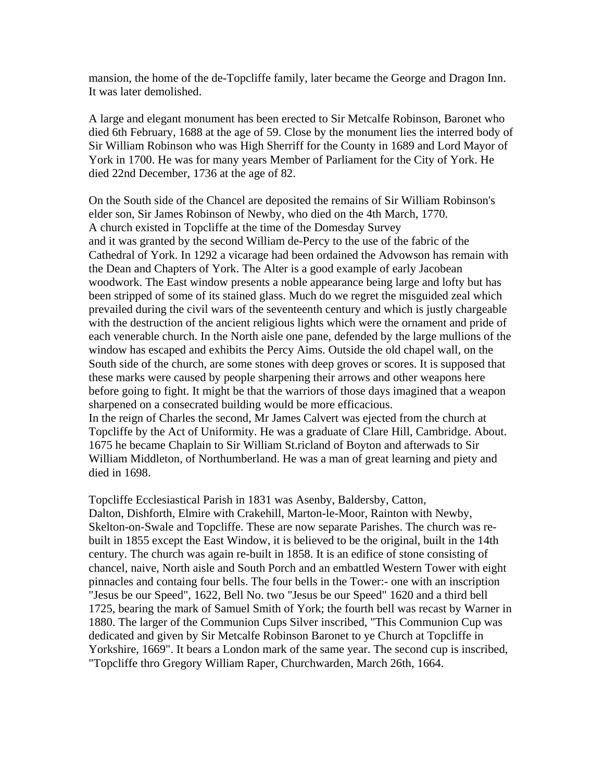mansion, the home of the de-Topcliffe family, later became the George and Dragon Inn. It was later demolished.

A large and elegant monument has been erected to Sir Metcalfe Robinson, Baronet who died 6th February, 1688 at the age of 59. Close by the monument lies the interred body of Sir William Robinson who was High Sherriff for the County in 1689 and Lord Mayor of York in 1700. He was for many years Member of Parliament for the City of York. He died 22nd December, 1736 at the age of 82.

On the South side of the Chancel are deposited the remains of Sir William Robinson's elder son, Sir James Robinson of Newby, who died on the 4th March, 1770. A church existed in Topcliffe at the time of the Domesday Survey and it was granted by the second William de-Percy to the use of the fabric of the Cathedral of York. In 1292 a vicarage had been ordained the Advowson has remain with the Dean and Chapters of York. The Alter is a good example of early Jacobean woodwork. The East window presents a noble appearance being large and lofty but has been stripped of some of its stained glass. Much do we regret the misguided zeal which prevailed during the civil wars of the seventeenth century and which is justly chargeable with the destruction of the ancient religious lights which were the ornament and pride of each venerable church. In the North aisle one pane, defended by the large mullions of the window has escaped and exhibits the Percy Aims. Outside the old chapel wall, on the South side of the church, are some stones with deep groves or scores. It is supposed that these marks were caused by people sharpening their arrows and other weapons here before going to fight. It might be that the warriors of those days imagined that a weapon sharpened on a consecrated building would be more efficacious. In the reign of Charles the second, Mr James Calvert was ejected from the church at Topcliffe by the Act of Uniformity. He was a graduate of Clare Hill, Cambridge. About. 1675 he became Chaplain to Sir William St.ricland of Boyton and afterwads to Sir William Middleton, of Northumberland. He was a man of great learning and piety and

Topcliffe Ecclesiastical Parish in 1831 was Asenby, Baldersby, Catton, Dalton, Dishforth, Elmire with Crakehill, Marton-le-Moor, Rainton with Newby, Skelton-on-Swale and Topcliffe. These are now separate Parishes. The church was rebuilt in 1855 except the East Window, it is believed to be the original, built in the 14th century. The church was again re-built in 1858. It is an edifice of stone consisting of chancel, naive, North aisle and South Porch and an embattled Western Tower with eight pinnacles and containg four bells. The four bells in the Tower:- one with an inscription "Jesus be our Speed", 1622, Bell No. two "Jesus be our Speed" 1620 and a third bell 1725, bearing the mark of Samuel Smith of York; the fourth bell was recast by Warner in 1880. The larger of the Communion Cups Silver inscribed, "This Communion Cup was dedicated and given by Sir Metcalfe Robinson Baronet to ye Church at Topcliffe in Yorkshire, 1669". It bears a London mark of the same year. The second cup is inscribed, "Topcliffe thro Gregory William Raper, Churchwarden, March 26th, 1664.

died in 1698.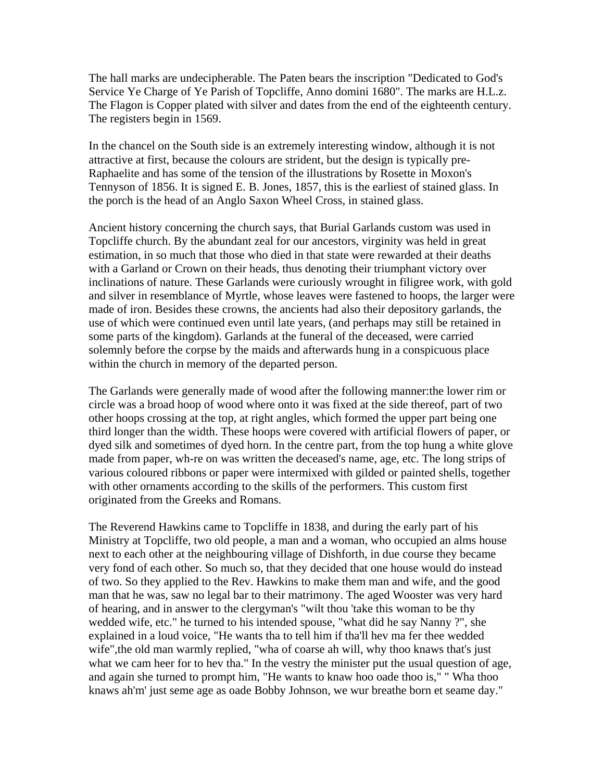The hall marks are undecipherable. The Paten bears the inscription "Dedicated to God's Service Ye Charge of Ye Parish of Topcliffe, Anno domini 1680". The marks are H.L.z. The Flagon is Copper plated with silver and dates from the end of the eighteenth century. The registers begin in 1569.

In the chancel on the South side is an extremely interesting window, although it is not attractive at first, because the colours are strident, but the design is typically pre-Raphaelite and has some of the tension of the illustrations by Rosette in Moxon's Tennyson of 1856. It is signed E. B. Jones, 1857, this is the earliest of stained glass. In the porch is the head of an Anglo Saxon Wheel Cross, in stained glass.

Ancient history concerning the church says, that Burial Garlands custom was used in Topcliffe church. By the abundant zeal for our ancestors, virginity was held in great estimation, in so much that those who died in that state were rewarded at their deaths with a Garland or Crown on their heads, thus denoting their triumphant victory over inclinations of nature. These Garlands were curiously wrought in filigree work, with gold and silver in resemblance of Myrtle, whose leaves were fastened to hoops, the larger were made of iron. Besides these crowns, the ancients had also their depository garlands, the use of which were continued even until late years, (and perhaps may still be retained in some parts of the kingdom). Garlands at the funeral of the deceased, were carried solemnly before the corpse by the maids and afterwards hung in a conspicuous place within the church in memory of the departed person.

The Garlands were generally made of wood after the following manner:the lower rim or circle was a broad hoop of wood where onto it was fixed at the side thereof, part of two other hoops crossing at the top, at right angles, which formed the upper part being one third longer than the width. These hoops were covered with artificial flowers of paper, or dyed silk and sometimes of dyed horn. In the centre part, from the top hung a white glove made from paper, wh-re on was written the deceased's name, age, etc. The long strips of various coloured ribbons or paper were intermixed with gilded or painted shells, together with other ornaments according to the skills of the performers. This custom first originated from the Greeks and Romans.

The Reverend Hawkins came to Topcliffe in 1838, and during the early part of his Ministry at Topcliffe, two old people, a man and a woman, who occupied an alms house next to each other at the neighbouring village of Dishforth, in due course they became very fond of each other. So much so, that they decided that one house would do instead of two. So they applied to the Rev. Hawkins to make them man and wife, and the good man that he was, saw no legal bar to their matrimony. The aged Wooster was very hard of hearing, and in answer to the clergyman's "wilt thou 'take this woman to be thy wedded wife, etc." he turned to his intended spouse, "what did he say Nanny ?", she explained in a loud voice, "He wants tha to tell him if tha'll hev ma fer thee wedded wife",the old man warmly replied, "wha of coarse ah will, why thoo knaws that's just what we cam heer for to hev tha." In the vestry the minister put the usual question of age, and again she turned to prompt him, "He wants to knaw hoo oade thoo is," " Wha thoo knaws ah'm' just seme age as oade Bobby Johnson, we wur breathe born et seame day."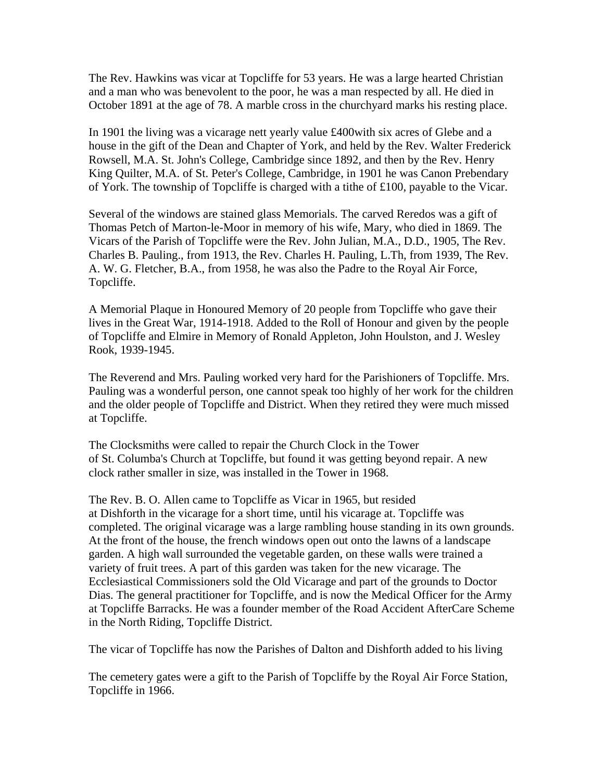The Rev. Hawkins was vicar at Topcliffe for 53 years. He was a large hearted Christian and a man who was benevolent to the poor, he was a man respected by all. He died in October 1891 at the age of 78. A marble cross in the churchyard marks his resting place.

In 1901 the living was a vicarage nett yearly value £400with six acres of Glebe and a house in the gift of the Dean and Chapter of York, and held by the Rev. Walter Frederick Rowsell, M.A. St. John's College, Cambridge since 1892, and then by the Rev. Henry King Quilter, M.A. of St. Peter's College, Cambridge, in 1901 he was Canon Prebendary of York. The township of Topcliffe is charged with a tithe of £100, payable to the Vicar.

Several of the windows are stained glass Memorials. The carved Reredos was a gift of Thomas Petch of Marton-le-Moor in memory of his wife, Mary, who died in 1869. The Vicars of the Parish of Topcliffe were the Rev. John Julian, M.A., D.D., 1905, The Rev. Charles B. Pauling., from 1913, the Rev. Charles H. Pauling, L.Th, from 1939, The Rev. A. W. G. Fletcher, B.A., from 1958, he was also the Padre to the Royal Air Force, Topcliffe.

A Memorial Plaque in Honoured Memory of 20 people from Topcliffe who gave their lives in the Great War, 1914-1918. Added to the Roll of Honour and given by the people of Topcliffe and Elmire in Memory of Ronald Appleton, John Houlston, and J. Wesley Rook, 1939-1945.

The Reverend and Mrs. Pauling worked very hard for the Parishioners of Topcliffe. Mrs. Pauling was a wonderful person, one cannot speak too highly of her work for the children and the older people of Topcliffe and District. When they retired they were much missed at Topcliffe.

The Clocksmiths were called to repair the Church Clock in the Tower of St. Columba's Church at Topcliffe, but found it was getting beyond repair. A new clock rather smaller in size, was installed in the Tower in 1968.

The Rev. B. O. Allen came to Topcliffe as Vicar in 1965, but resided at Dishforth in the vicarage for a short time, until his vicarage at. Topcliffe was completed. The original vicarage was a large rambling house standing in its own grounds. At the front of the house, the french windows open out onto the lawns of a landscape garden. A high wall surrounded the vegetable garden, on these walls were trained a variety of fruit trees. A part of this garden was taken for the new vicarage. The Ecclesiastical Commissioners sold the Old Vicarage and part of the grounds to Doctor Dias. The general practitioner for Topcliffe, and is now the Medical Officer for the Army at Topcliffe Barracks. He was a founder member of the Road Accident AfterCare Scheme in the North Riding, Topcliffe District.

The vicar of Topcliffe has now the Parishes of Dalton and Dishforth added to his living

The cemetery gates were a gift to the Parish of Topcliffe by the Royal Air Force Station, Topcliffe in 1966.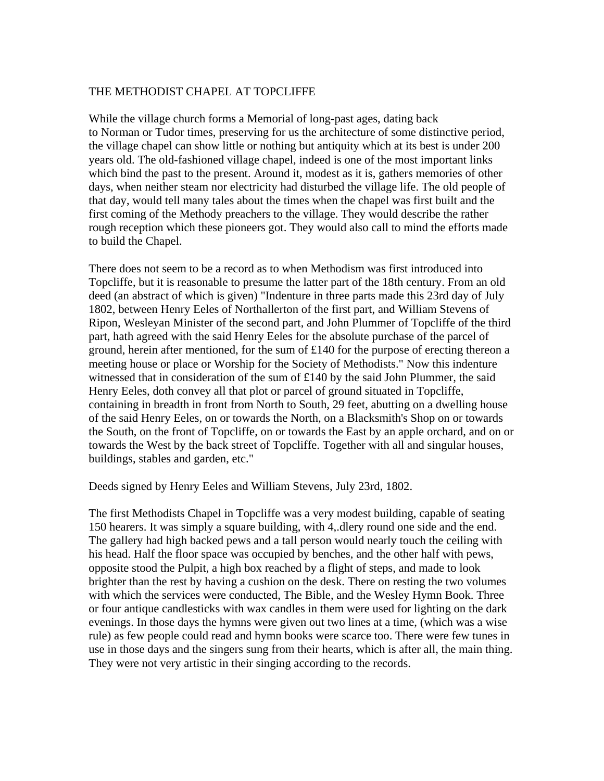# THE METHODIST CHAPEL AT TOPCLIFFE

While the village church forms a Memorial of long-past ages, dating back to Norman or Tudor times, preserving for us the architecture of some distinctive period, the village chapel can show little or nothing but antiquity which at its best is under 200 years old. The old-fashioned village chapel, indeed is one of the most important links which bind the past to the present. Around it, modest as it is, gathers memories of other days, when neither steam nor electricity had disturbed the village life. The old people of that day, would tell many tales about the times when the chapel was first built and the first coming of the Methody preachers to the village. They would describe the rather rough reception which these pioneers got. They would also call to mind the efforts made to build the Chapel.

There does not seem to be a record as to when Methodism was first introduced into Topcliffe, but it is reasonable to presume the latter part of the 18th century. From an old deed (an abstract of which is given) "Indenture in three parts made this 23rd day of July 1802, between Henry Eeles of Northallerton of the first part, and William Stevens of Ripon, Wesleyan Minister of the second part, and John Plummer of Topcliffe of the third part, hath agreed with the said Henry Eeles for the absolute purchase of the parcel of ground, herein after mentioned, for the sum of £140 for the purpose of erecting thereon a meeting house or place or Worship for the Society of Methodists." Now this indenture witnessed that in consideration of the sum of £140 by the said John Plummer, the said Henry Eeles, doth convey all that plot or parcel of ground situated in Topcliffe, containing in breadth in front from North to South, 29 feet, abutting on a dwelling house of the said Henry Eeles, on or towards the North, on a Blacksmith's Shop on or towards the South, on the front of Topcliffe, on or towards the East by an apple orchard, and on or towards the West by the back street of Topcliffe. Together with all and singular houses, buildings, stables and garden, etc."

Deeds signed by Henry Eeles and William Stevens, July 23rd, 1802.

The first Methodists Chapel in Topcliffe was a very modest building, capable of seating 150 hearers. It was simply a square building, with 4,.dlery round one side and the end. The gallery had high backed pews and a tall person would nearly touch the ceiling with his head. Half the floor space was occupied by benches, and the other half with pews, opposite stood the Pulpit, a high box reached by a flight of steps, and made to look brighter than the rest by having a cushion on the desk. There on resting the two volumes with which the services were conducted, The Bible, and the Wesley Hymn Book. Three or four antique candlesticks with wax candles in them were used for lighting on the dark evenings. In those days the hymns were given out two lines at a time, (which was a wise rule) as few people could read and hymn books were scarce too. There were few tunes in use in those days and the singers sung from their hearts, which is after all, the main thing. They were not very artistic in their singing according to the records.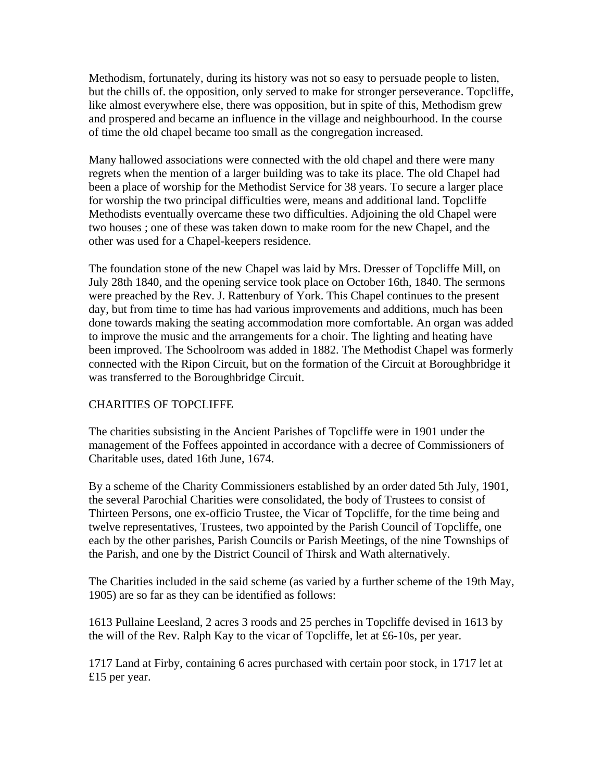Methodism, fortunately, during its history was not so easy to persuade people to listen, but the chills of. the opposition, only served to make for stronger perseverance. Topcliffe, like almost everywhere else, there was opposition, but in spite of this, Methodism grew and prospered and became an influence in the village and neighbourhood. In the course of time the old chapel became too small as the congregation increased.

Many hallowed associations were connected with the old chapel and there were many regrets when the mention of a larger building was to take its place. The old Chapel had been a place of worship for the Methodist Service for 38 years. To secure a larger place for worship the two principal difficulties were, means and additional land. Topcliffe Methodists eventually overcame these two difficulties. Adjoining the old Chapel were two houses ; one of these was taken down to make room for the new Chapel, and the other was used for a Chapel-keepers residence.

The foundation stone of the new Chapel was laid by Mrs. Dresser of Topcliffe Mill, on July 28th 1840, and the opening service took place on October 16th, 1840. The sermons were preached by the Rev. J. Rattenbury of York. This Chapel continues to the present day, but from time to time has had various improvements and additions, much has been done towards making the seating accommodation more comfortable. An organ was added to improve the music and the arrangements for a choir. The lighting and heating have been improved. The Schoolroom was added in 1882. The Methodist Chapel was formerly connected with the Ripon Circuit, but on the formation of the Circuit at Boroughbridge it was transferred to the Boroughbridge Circuit.

# CHARITIES OF TOPCLIFFE

The charities subsisting in the Ancient Parishes of Topcliffe were in 1901 under the management of the Foffees appointed in accordance with a decree of Commissioners of Charitable uses, dated 16th June, 1674.

By a scheme of the Charity Commissioners established by an order dated 5th July, 1901, the several Parochial Charities were consolidated, the body of Trustees to consist of Thirteen Persons, one ex-officio Trustee, the Vicar of Topcliffe, for the time being and twelve representatives, Trustees, two appointed by the Parish Council of Topcliffe, one each by the other parishes, Parish Councils or Parish Meetings, of the nine Townships of the Parish, and one by the District Council of Thirsk and Wath alternatively.

The Charities included in the said scheme (as varied by a further scheme of the 19th May, 1905) are so far as they can be identified as follows:

1613 Pullaine Leesland, 2 acres 3 roods and 25 perches in Topcliffe devised in 1613 by the will of the Rev. Ralph Kay to the vicar of Topcliffe, let at £6-10s, per year.

1717 Land at Firby, containing 6 acres purchased with certain poor stock, in 1717 let at £15 per year.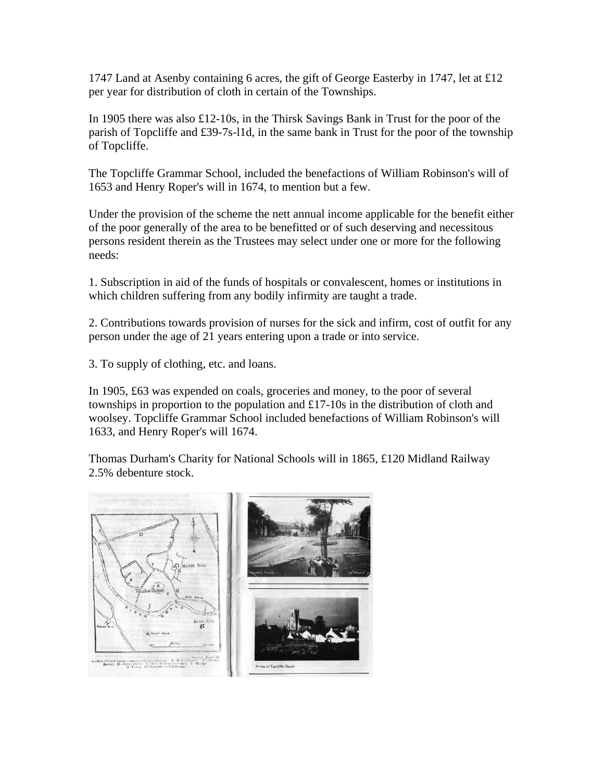1747 Land at Asenby containing 6 acres, the gift of George Easterby in 1747, let at £12 per year for distribution of cloth in certain of the Townships.

In 1905 there was also  $\pounds$ 12-10s, in the Thirsk Savings Bank in Trust for the poor of the parish of Topcliffe and £39-7s-l1d, in the same bank in Trust for the poor of the township of Topcliffe.

The Topcliffe Grammar School, included the benefactions of William Robinson's will of 1653 and Henry Roper's will in 1674, to mention but a few.

Under the provision of the scheme the nett annual income applicable for the benefit either of the poor generally of the area to be benefitted or of such deserving and necessitous persons resident therein as the Trustees may select under one or more for the following needs:

1. Subscription in aid of the funds of hospitals or convalescent, homes or institutions in which children suffering from any bodily infirmity are taught a trade.

2. Contributions towards provision of nurses for the sick and infirm, cost of outfit for any person under the age of 21 years entering upon a trade or into service.

3. To supply of clothing, etc. and loans.

In 1905, £63 was expended on coals, groceries and money, to the poor of several townships in proportion to the population and £17-10s in the distribution of cloth and woolsey. Topcliffe Grammar School included benefactions of William Robinson's will 1633, and Henry Roper's will 1674.

Thomas Durham's Charity for National Schools will in 1865, £120 Midland Railway 2.5% debenture stock.

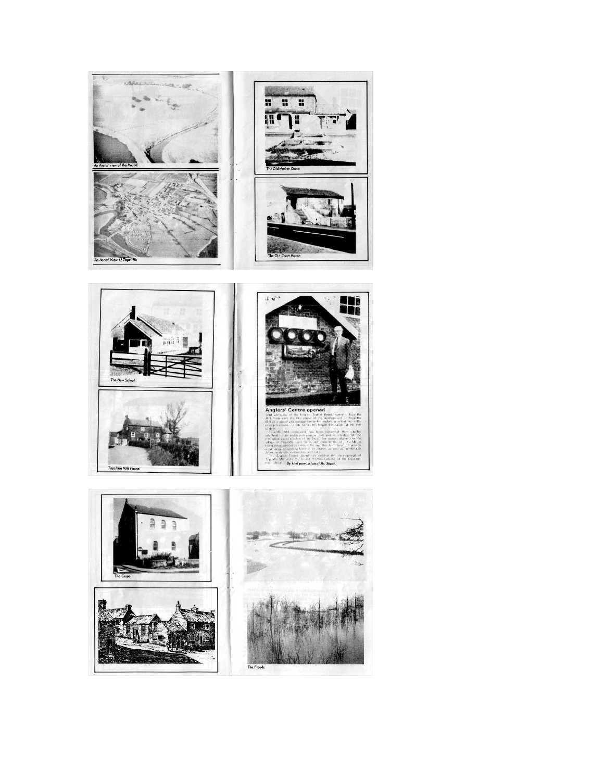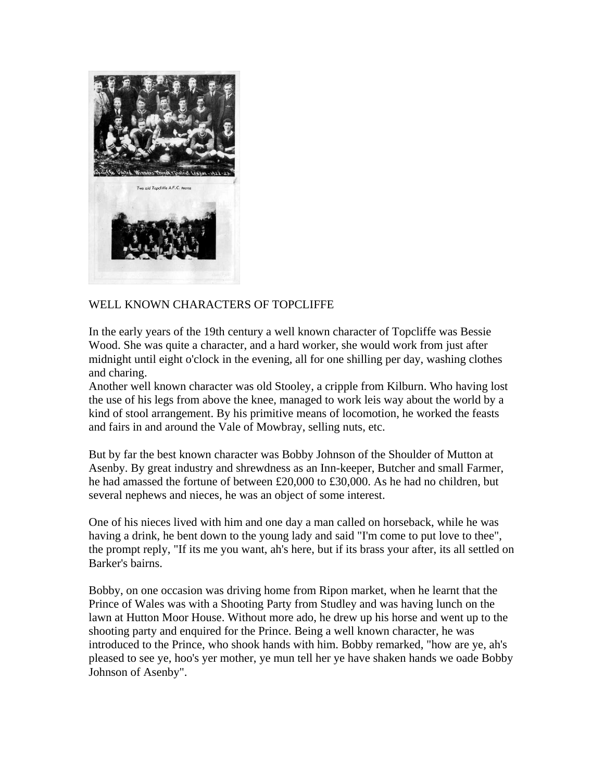

# WELL KNOWN CHARACTERS OF TOPCLIFFE

In the early years of the 19th century a well known character of Topcliffe was Bessie Wood. She was quite a character, and a hard worker, she would work from just after midnight until eight o'clock in the evening, all for one shilling per day, washing clothes and charing.

Another well known character was old Stooley, a cripple from Kilburn. Who having lost the use of his legs from above the knee, managed to work leis way about the world by a kind of stool arrangement. By his primitive means of locomotion, he worked the feasts and fairs in and around the Vale of Mowbray, selling nuts, etc.

But by far the best known character was Bobby Johnson of the Shoulder of Mutton at Asenby. By great industry and shrewdness as an Inn-keeper, Butcher and small Farmer, he had amassed the fortune of between £20,000 to £30,000. As he had no children, but several nephews and nieces, he was an object of some interest.

One of his nieces lived with him and one day a man called on horseback, while he was having a drink, he bent down to the young lady and said "I'm come to put love to thee", the prompt reply, "If its me you want, ah's here, but if its brass your after, its all settled on Barker's bairns.

Bobby, on one occasion was driving home from Ripon market, when he learnt that the Prince of Wales was with a Shooting Party from Studley and was having lunch on the lawn at Hutton Moor House. Without more ado, he drew up his horse and went up to the shooting party and enquired for the Prince. Being a well known character, he was introduced to the Prince, who shook hands with him. Bobby remarked, "how are ye, ah's pleased to see ye, hoo's yer mother, ye mun tell her ye have shaken hands we oade Bobby Johnson of Asenby".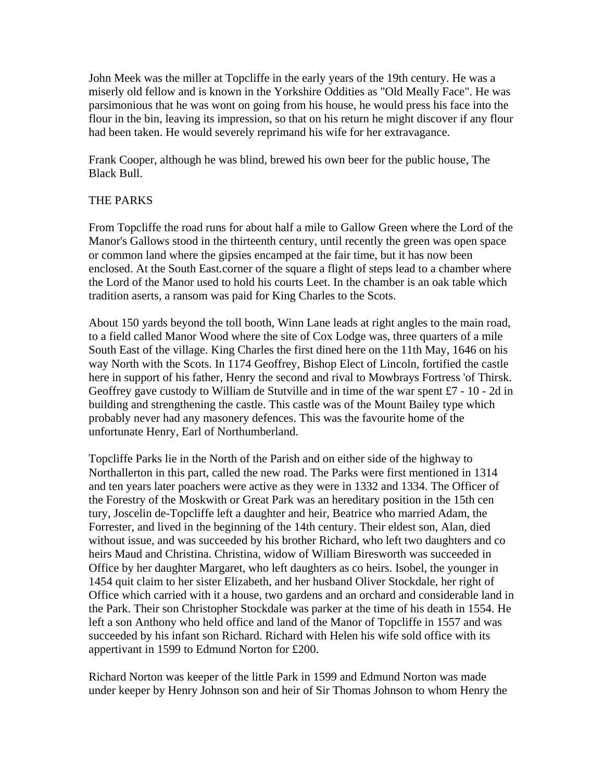John Meek was the miller at Topcliffe in the early years of the 19th century. He was a miserly old fellow and is known in the Yorkshire Oddities as "Old Meally Face". He was parsimonious that he was wont on going from his house, he would press his face into the flour in the bin, leaving its impression, so that on his return he might discover if any flour had been taken. He would severely reprimand his wife for her extravagance.

Frank Cooper, although he was blind, brewed his own beer for the public house, The Black Bull.

# THE PARKS

From Topcliffe the road runs for about half a mile to Gallow Green where the Lord of the Manor's Gallows stood in the thirteenth century, until recently the green was open space or common land where the gipsies encamped at the fair time, but it has now been enclosed. At the South East.corner of the square a flight of steps lead to a chamber where the Lord of the Manor used to hold his courts Leet. In the chamber is an oak table which tradition aserts, a ransom was paid for King Charles to the Scots.

About 150 yards beyond the toll booth, Winn Lane leads at right angles to the main road, to a field called Manor Wood where the site of Cox Lodge was, three quarters of a mile South East of the village. King Charles the first dined here on the 11th May, 1646 on his way North with the Scots. In 1174 Geoffrey, Bishop Elect of Lincoln, fortified the castle here in support of his father, Henry the second and rival to Mowbrays Fortress 'of Thirsk. Geoffrey gave custody to William de Stutville and in time of the war spent £7 - 10 - 2d in building and strengthening the castle. This castle was of the Mount Bailey type which probably never had any masonery defences. This was the favourite home of the unfortunate Henry, Earl of Northumberland.

Topcliffe Parks lie in the North of the Parish and on either side of the highway to Northallerton in this part, called the new road. The Parks were first mentioned in 1314 and ten years later poachers were active as they were in 1332 and 1334. The Officer of the Forestry of the Moskwith or Great Park was an hereditary position in the 15th cen tury, Joscelin de-Topcliffe left a daughter and heir, Beatrice who married Adam, the Forrester, and lived in the beginning of the 14th century. Their eldest son, Alan, died without issue, and was succeeded by his brother Richard, who left two daughters and co heirs Maud and Christina. Christina, widow of William Biresworth was succeeded in Office by her daughter Margaret, who left daughters as co heirs. Isobel, the younger in 1454 quit claim to her sister Elizabeth, and her husband Oliver Stockdale, her right of Office which carried with it a house, two gardens and an orchard and considerable land in the Park. Their son Christopher Stockdale was parker at the time of his death in 1554. He left a son Anthony who held office and land of the Manor of Topcliffe in 1557 and was succeeded by his infant son Richard. Richard with Helen his wife sold office with its appertivant in 1599 to Edmund Norton for £200.

Richard Norton was keeper of the little Park in 1599 and Edmund Norton was made under keeper by Henry Johnson son and heir of Sir Thomas Johnson to whom Henry the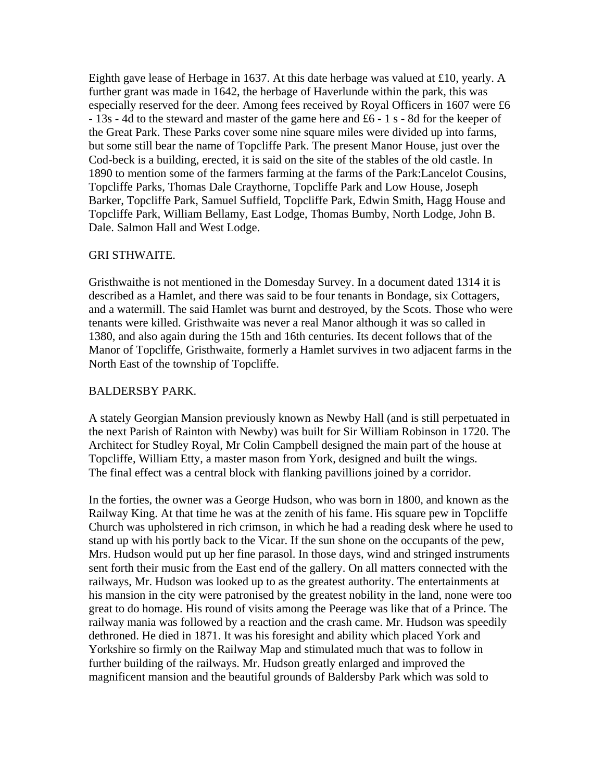Eighth gave lease of Herbage in 1637. At this date herbage was valued at £10, yearly. A further grant was made in 1642, the herbage of Haverlunde within the park, this was especially reserved for the deer. Among fees received by Royal Officers in 1607 were £6 - 13s - 4d to the steward and master of the game here and £6 - 1 s - 8d for the keeper of the Great Park. These Parks cover some nine square miles were divided up into farms, but some still bear the name of Topcliffe Park. The present Manor House, just over the Cod-beck is a building, erected, it is said on the site of the stables of the old castle. In 1890 to mention some of the farmers farming at the farms of the Park:Lancelot Cousins, Topcliffe Parks, Thomas Dale Craythorne, Topcliffe Park and Low House, Joseph Barker, Topcliffe Park, Samuel Suffield, Topcliffe Park, Edwin Smith, Hagg House and Topcliffe Park, William Bellamy, East Lodge, Thomas Bumby, North Lodge, John B. Dale. Salmon Hall and West Lodge.

#### GRI STHWAITE.

Gristhwaithe is not mentioned in the Domesday Survey. In a document dated 1314 it is described as a Hamlet, and there was said to be four tenants in Bondage, six Cottagers, and a watermill. The said Hamlet was burnt and destroyed, by the Scots. Those who were tenants were killed. Gristhwaite was never a real Manor although it was so called in 1380, and also again during the 15th and 16th centuries. Its decent follows that of the Manor of Topcliffe, Gristhwaite, formerly a Hamlet survives in two adjacent farms in the North East of the township of Topcliffe.

#### BALDERSBY PARK.

A stately Georgian Mansion previously known as Newby Hall (and is still perpetuated in the next Parish of Rainton with Newby) was built for Sir William Robinson in 1720. The Architect for Studley Royal, Mr Colin Campbell designed the main part of the house at Topcliffe, William Etty, a master mason from York, designed and built the wings. The final effect was a central block with flanking pavillions joined by a corridor.

In the forties, the owner was a George Hudson, who was born in 1800, and known as the Railway King. At that time he was at the zenith of his fame. His square pew in Topcliffe Church was upholstered in rich crimson, in which he had a reading desk where he used to stand up with his portly back to the Vicar. If the sun shone on the occupants of the pew, Mrs. Hudson would put up her fine parasol. In those days, wind and stringed instruments sent forth their music from the East end of the gallery. On all matters connected with the railways, Mr. Hudson was looked up to as the greatest authority. The entertainments at his mansion in the city were patronised by the greatest nobility in the land, none were too great to do homage. His round of visits among the Peerage was like that of a Prince. The railway mania was followed by a reaction and the crash came. Mr. Hudson was speedily dethroned. He died in 1871. It was his foresight and ability which placed York and Yorkshire so firmly on the Railway Map and stimulated much that was to follow in further building of the railways. Mr. Hudson greatly enlarged and improved the magnificent mansion and the beautiful grounds of Baldersby Park which was sold to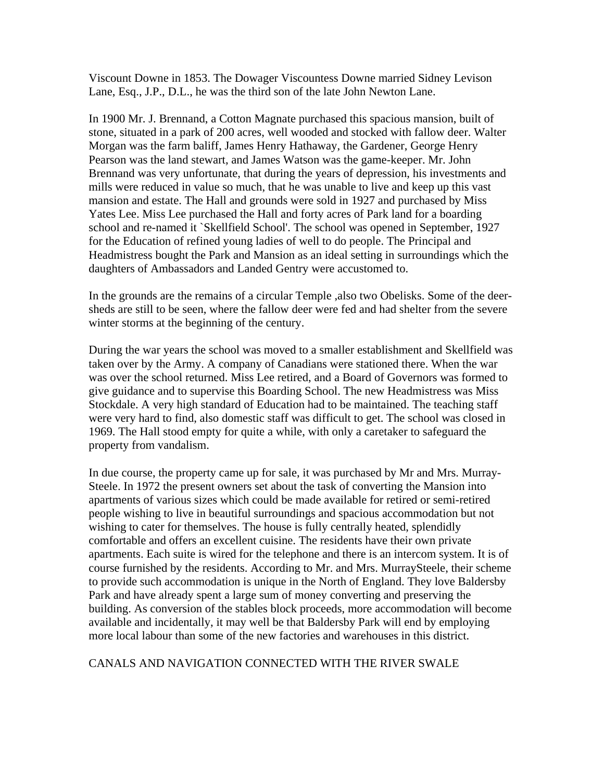Viscount Downe in 1853. The Dowager Viscountess Downe married Sidney Levison Lane, Esq., J.P., D.L., he was the third son of the late John Newton Lane.

In 1900 Mr. J. Brennand, a Cotton Magnate purchased this spacious mansion, built of stone, situated in a park of 200 acres, well wooded and stocked with fallow deer. Walter Morgan was the farm baliff, James Henry Hathaway, the Gardener, George Henry Pearson was the land stewart, and James Watson was the game-keeper. Mr. John Brennand was very unfortunate, that during the years of depression, his investments and mills were reduced in value so much, that he was unable to live and keep up this vast mansion and estate. The Hall and grounds were sold in 1927 and purchased by Miss Yates Lee. Miss Lee purchased the Hall and forty acres of Park land for a boarding school and re-named it `Skellfield School'. The school was opened in September, 1927 for the Education of refined young ladies of well to do people. The Principal and Headmistress bought the Park and Mansion as an ideal setting in surroundings which the daughters of Ambassadors and Landed Gentry were accustomed to.

In the grounds are the remains of a circular Temple ,also two Obelisks. Some of the deersheds are still to be seen, where the fallow deer were fed and had shelter from the severe winter storms at the beginning of the century.

During the war years the school was moved to a smaller establishment and Skellfield was taken over by the Army. A company of Canadians were stationed there. When the war was over the school returned. Miss Lee retired, and a Board of Governors was formed to give guidance and to supervise this Boarding School. The new Headmistress was Miss Stockdale. A very high standard of Education had to be maintained. The teaching staff were very hard to find, also domestic staff was difficult to get. The school was closed in 1969. The Hall stood empty for quite a while, with only a caretaker to safeguard the property from vandalism.

In due course, the property came up for sale, it was purchased by Mr and Mrs. Murray-Steele. In 1972 the present owners set about the task of converting the Mansion into apartments of various sizes which could be made available for retired or semi-retired people wishing to live in beautiful surroundings and spacious accommodation but not wishing to cater for themselves. The house is fully centrally heated, splendidly comfortable and offers an excellent cuisine. The residents have their own private apartments. Each suite is wired for the telephone and there is an intercom system. It is of course furnished by the residents. According to Mr. and Mrs. MurraySteele, their scheme to provide such accommodation is unique in the North of England. They love Baldersby Park and have already spent a large sum of money converting and preserving the building. As conversion of the stables block proceeds, more accommodation will become available and incidentally, it may well be that Baldersby Park will end by employing more local labour than some of the new factories and warehouses in this district.

# CANALS AND NAVIGATION CONNECTED WITH THE RIVER SWALE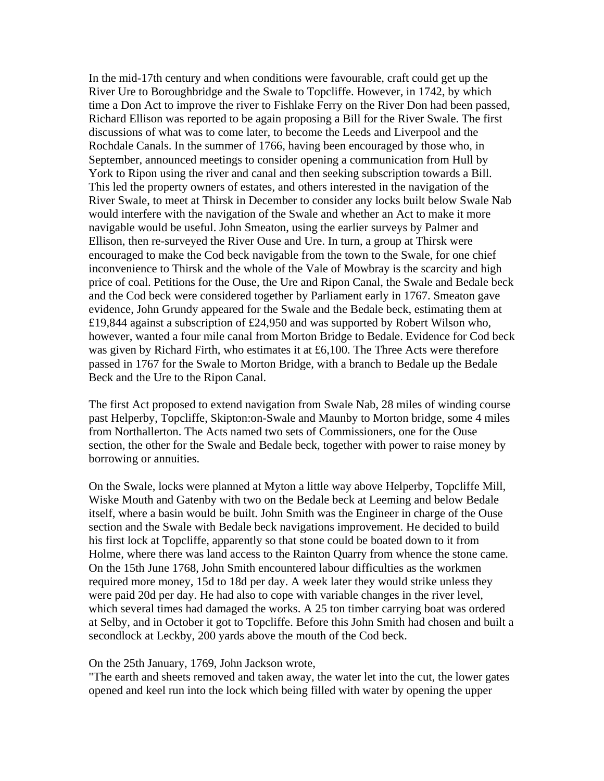In the mid-17th century and when conditions were favourable, craft could get up the River Ure to Boroughbridge and the Swale to Topcliffe. However, in 1742, by which time a Don Act to improve the river to Fishlake Ferry on the River Don had been passed, Richard Ellison was reported to be again proposing a Bill for the River Swale. The first discussions of what was to come later, to become the Leeds and Liverpool and the Rochdale Canals. In the summer of 1766, having been encouraged by those who, in September, announced meetings to consider opening a communication from Hull by York to Ripon using the river and canal and then seeking subscription towards a Bill. This led the property owners of estates, and others interested in the navigation of the River Swale, to meet at Thirsk in December to consider any locks built below Swale Nab would interfere with the navigation of the Swale and whether an Act to make it more navigable would be useful. John Smeaton, using the earlier surveys by Palmer and Ellison, then re-surveyed the River Ouse and Ure. In turn, a group at Thirsk were encouraged to make the Cod beck navigable from the town to the Swale, for one chief inconvenience to Thirsk and the whole of the Vale of Mowbray is the scarcity and high price of coal. Petitions for the Ouse, the Ure and Ripon Canal, the Swale and Bedale beck and the Cod beck were considered together by Parliament early in 1767. Smeaton gave evidence, John Grundy appeared for the Swale and the Bedale beck, estimating them at £19,844 against a subscription of £24,950 and was supported by Robert Wilson who, however, wanted a four mile canal from Morton Bridge to Bedale. Evidence for Cod beck was given by Richard Firth, who estimates it at £6,100. The Three Acts were therefore passed in 1767 for the Swale to Morton Bridge, with a branch to Bedale up the Bedale Beck and the Ure to the Ripon Canal.

The first Act proposed to extend navigation from Swale Nab, 28 miles of winding course past Helperby, Topcliffe, Skipton:on-Swale and Maunby to Morton bridge, some 4 miles from Northallerton. The Acts named two sets of Commissioners, one for the Ouse section, the other for the Swale and Bedale beck, together with power to raise money by borrowing or annuities.

On the Swale, locks were planned at Myton a little way above Helperby, Topcliffe Mill, Wiske Mouth and Gatenby with two on the Bedale beck at Leeming and below Bedale itself, where a basin would be built. John Smith was the Engineer in charge of the Ouse section and the Swale with Bedale beck navigations improvement. He decided to build his first lock at Topcliffe, apparently so that stone could be boated down to it from Holme, where there was land access to the Rainton Quarry from whence the stone came. On the 15th June 1768, John Smith encountered labour difficulties as the workmen required more money, 15d to 18d per day. A week later they would strike unless they were paid 20d per day. He had also to cope with variable changes in the river level, which several times had damaged the works. A 25 ton timber carrying boat was ordered at Selby, and in October it got to Topcliffe. Before this John Smith had chosen and built a secondlock at Leckby, 200 yards above the mouth of the Cod beck.

#### On the 25th January, 1769, John Jackson wrote,

"The earth and sheets removed and taken away, the water let into the cut, the lower gates opened and keel run into the lock which being filled with water by opening the upper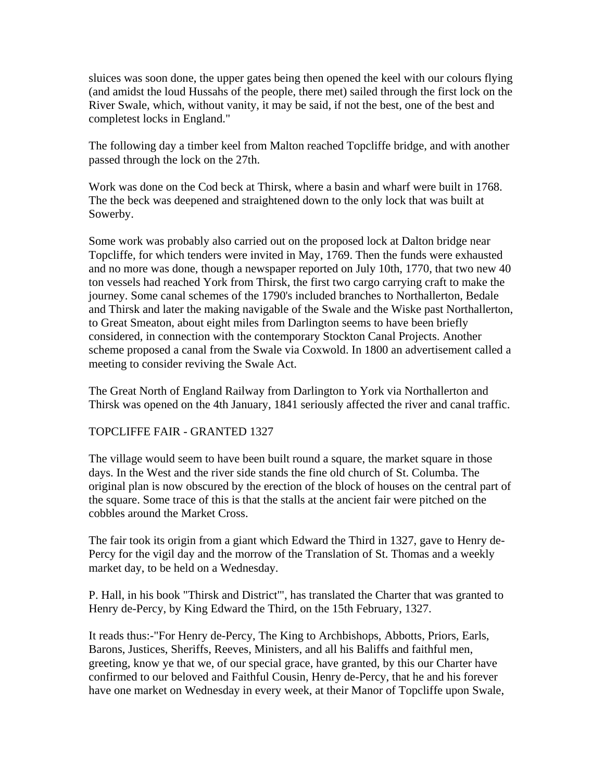sluices was soon done, the upper gates being then opened the keel with our colours flying (and amidst the loud Hussahs of the people, there met) sailed through the first lock on the River Swale, which, without vanity, it may be said, if not the best, one of the best and completest locks in England."

The following day a timber keel from Malton reached Topcliffe bridge, and with another passed through the lock on the 27th.

Work was done on the Cod beck at Thirsk, where a basin and wharf were built in 1768. The the beck was deepened and straightened down to the only lock that was built at Sowerby.

Some work was probably also carried out on the proposed lock at Dalton bridge near Topcliffe, for which tenders were invited in May, 1769. Then the funds were exhausted and no more was done, though a newspaper reported on July 10th, 1770, that two new 40 ton vessels had reached York from Thirsk, the first two cargo carrying craft to make the journey. Some canal schemes of the 1790's included branches to Northallerton, Bedale and Thirsk and later the making navigable of the Swale and the Wiske past Northallerton, to Great Smeaton, about eight miles from Darlington seems to have been briefly considered, in connection with the contemporary Stockton Canal Projects. Another scheme proposed a canal from the Swale via Coxwold. In 1800 an advertisement called a meeting to consider reviving the Swale Act.

The Great North of England Railway from Darlington to York via Northallerton and Thirsk was opened on the 4th January, 1841 seriously affected the river and canal traffic.

# TOPCLIFFE FAIR - GRANTED 1327

The village would seem to have been built round a square, the market square in those days. In the West and the river side stands the fine old church of St. Columba. The original plan is now obscured by the erection of the block of houses on the central part of the square. Some trace of this is that the stalls at the ancient fair were pitched on the cobbles around the Market Cross.

The fair took its origin from a giant which Edward the Third in 1327, gave to Henry de-Percy for the vigil day and the morrow of the Translation of St. Thomas and a weekly market day, to be held on a Wednesday.

P. Hall, in his book "Thirsk and District'", has translated the Charter that was granted to Henry de-Percy, by King Edward the Third, on the 15th February, 1327.

It reads thus:-"For Henry de-Percy, The King to Archbishops, Abbotts, Priors, Earls, Barons, Justices, Sheriffs, Reeves, Ministers, and all his Baliffs and faithful men, greeting, know ye that we, of our special grace, have granted, by this our Charter have confirmed to our beloved and Faithful Cousin, Henry de-Percy, that he and his forever have one market on Wednesday in every week, at their Manor of Topcliffe upon Swale,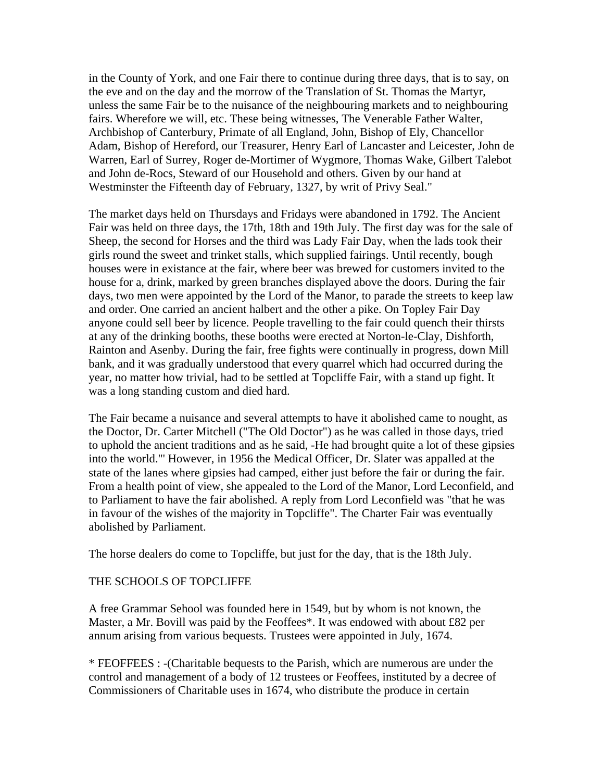in the County of York, and one Fair there to continue during three days, that is to say, on the eve and on the day and the morrow of the Translation of St. Thomas the Martyr, unless the same Fair be to the nuisance of the neighbouring markets and to neighbouring fairs. Wherefore we will, etc. These being witnesses, The Venerable Father Walter, Archbishop of Canterbury, Primate of all England, John, Bishop of Ely, Chancellor Adam, Bishop of Hereford, our Treasurer, Henry Earl of Lancaster and Leicester, John de Warren, Earl of Surrey, Roger de-Mortimer of Wygmore, Thomas Wake, Gilbert Talebot and John de-Rocs, Steward of our Household and others. Given by our hand at Westminster the Fifteenth day of February, 1327, by writ of Privy Seal."

The market days held on Thursdays and Fridays were abandoned in 1792. The Ancient Fair was held on three days, the 17th, 18th and 19th July. The first day was for the sale of Sheep, the second for Horses and the third was Lady Fair Day, when the lads took their girls round the sweet and trinket stalls, which supplied fairings. Until recently, bough houses were in existance at the fair, where beer was brewed for customers invited to the house for a, drink, marked by green branches displayed above the doors. During the fair days, two men were appointed by the Lord of the Manor, to parade the streets to keep law and order. One carried an ancient halbert and the other a pike. On Topley Fair Day anyone could sell beer by licence. People travelling to the fair could quench their thirsts at any of the drinking booths, these booths were erected at Norton-le-Clay, Dishforth, Rainton and Asenby. During the fair, free fights were continually in progress, down Mill bank, and it was gradually understood that every quarrel which had occurred during the year, no matter how trivial, had to be settled at Topcliffe Fair, with a stand up fight. It was a long standing custom and died hard.

The Fair became a nuisance and several attempts to have it abolished came to nought, as the Doctor, Dr. Carter Mitchell ("The Old Doctor") as he was called in those days, tried to uphold the ancient traditions and as he said, -He had brought quite a lot of these gipsies into the world."' However, in 1956 the Medical Officer, Dr. Slater was appalled at the state of the lanes where gipsies had camped, either just before the fair or during the fair. From a health point of view, she appealed to the Lord of the Manor, Lord Leconfield, and to Parliament to have the fair abolished. A reply from Lord Leconfield was "that he was in favour of the wishes of the majority in Topcliffe". The Charter Fair was eventually abolished by Parliament.

The horse dealers do come to Topcliffe, but just for the day, that is the 18th July.

# THE SCHOOLS OF TOPCLIFFE

A free Grammar Sehool was founded here in 1549, but by whom is not known, the Master, a Mr. Bovill was paid by the Feoffees\*. It was endowed with about £82 per annum arising from various bequests. Trustees were appointed in July, 1674.

\* FEOFFEES : -(Charitable bequests to the Parish, which are numerous are under the control and management of a body of 12 trustees or Feoffees, instituted by a decree of Commissioners of Charitable uses in 1674, who distribute the produce in certain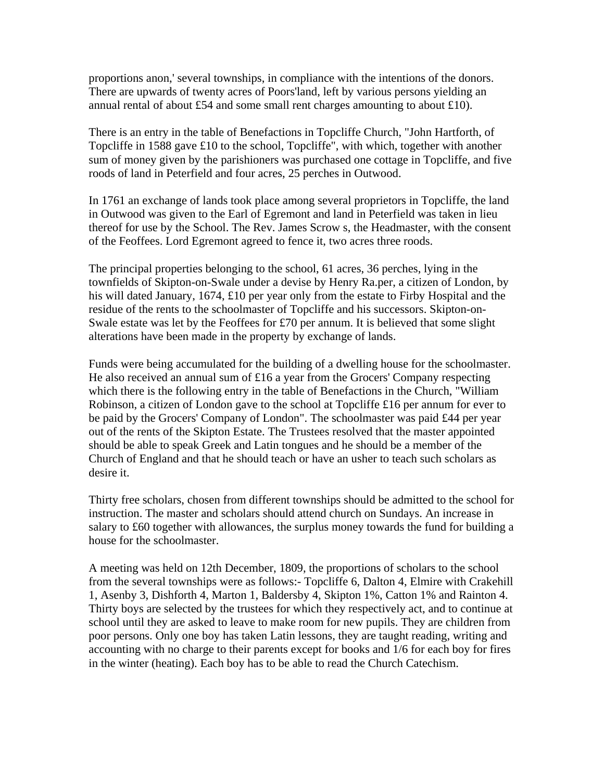proportions anon,' several townships, in compliance with the intentions of the donors. There are upwards of twenty acres of Poors'land, left by various persons yielding an annual rental of about £54 and some small rent charges amounting to about £10).

There is an entry in the table of Benefactions in Topcliffe Church, "John Hartforth, of Topcliffe in 1588 gave £10 to the school, Topcliffe", with which, together with another sum of money given by the parishioners was purchased one cottage in Topcliffe, and five roods of land in Peterfield and four acres, 25 perches in Outwood.

In 1761 an exchange of lands took place among several proprietors in Topcliffe, the land in Outwood was given to the Earl of Egremont and land in Peterfield was taken in lieu thereof for use by the School. The Rev. James Scrow s, the Headmaster, with the consent of the Feoffees. Lord Egremont agreed to fence it, two acres three roods.

The principal properties belonging to the school, 61 acres, 36 perches, lying in the townfields of Skipton-on-Swale under a devise by Henry Ra.per, a citizen of London, by his will dated January, 1674, £10 per year only from the estate to Firby Hospital and the residue of the rents to the schoolmaster of Topcliffe and his successors. Skipton-on-Swale estate was let by the Feoffees for  $£70$  per annum. It is believed that some slight alterations have been made in the property by exchange of lands.

Funds were being accumulated for the building of a dwelling house for the schoolmaster. He also received an annual sum of £16 a year from the Grocers' Company respecting which there is the following entry in the table of Benefactions in the Church, "William Robinson, a citizen of London gave to the school at Topcliffe £16 per annum for ever to be paid by the Grocers' Company of London". The schoolmaster was paid £44 per year out of the rents of the Skipton Estate. The Trustees resolved that the master appointed should be able to speak Greek and Latin tongues and he should be a member of the Church of England and that he should teach or have an usher to teach such scholars as desire it.

Thirty free scholars, chosen from different townships should be admitted to the school for instruction. The master and scholars should attend church on Sundays. An increase in salary to £60 together with allowances, the surplus money towards the fund for building a house for the schoolmaster.

A meeting was held on 12th December, 1809, the proportions of scholars to the school from the several townships were as follows:- Topcliffe 6, Dalton 4, Elmire with Crakehill 1, Asenby 3, Dishforth 4, Marton 1, Baldersby 4, Skipton 1%, Catton 1% and Rainton 4. Thirty boys are selected by the trustees for which they respectively act, and to continue at school until they are asked to leave to make room for new pupils. They are children from poor persons. Only one boy has taken Latin lessons, they are taught reading, writing and accounting with no charge to their parents except for books and 1/6 for each boy for fires in the winter (heating). Each boy has to be able to read the Church Catechism.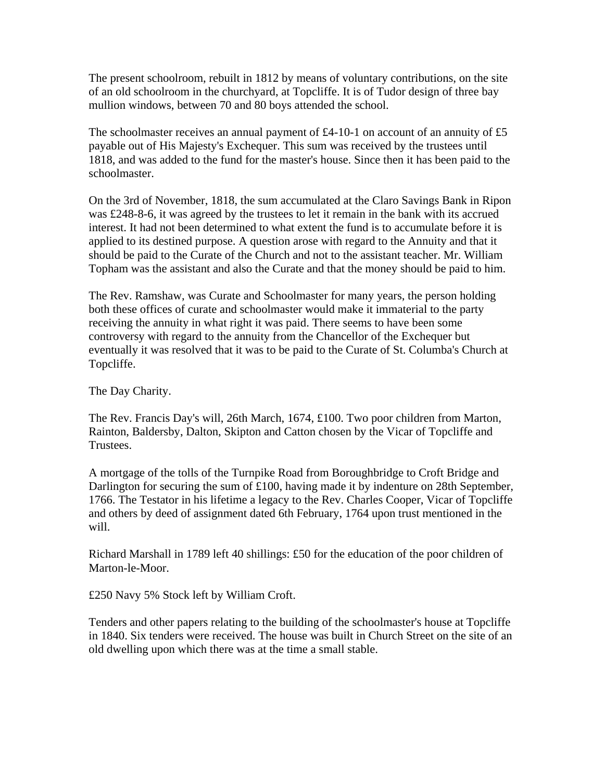The present schoolroom, rebuilt in 1812 by means of voluntary contributions, on the site of an old schoolroom in the churchyard, at Topcliffe. It is of Tudor design of three bay mullion windows, between 70 and 80 boys attended the school.

The schoolmaster receives an annual payment of £4-10-1 on account of an annuity of £5 payable out of His Majesty's Exchequer. This sum was received by the trustees until 1818, and was added to the fund for the master's house. Since then it has been paid to the schoolmaster.

On the 3rd of November, 1818, the sum accumulated at the Claro Savings Bank in Ripon was £248-8-6, it was agreed by the trustees to let it remain in the bank with its accrued interest. It had not been determined to what extent the fund is to accumulate before it is applied to its destined purpose. A question arose with regard to the Annuity and that it should be paid to the Curate of the Church and not to the assistant teacher. Mr. William Topham was the assistant and also the Curate and that the money should be paid to him.

The Rev. Ramshaw, was Curate and Schoolmaster for many years, the person holding both these offices of curate and schoolmaster would make it immaterial to the party receiving the annuity in what right it was paid. There seems to have been some controversy with regard to the annuity from the Chancellor of the Exchequer but eventually it was resolved that it was to be paid to the Curate of St. Columba's Church at Topcliffe.

The Day Charity.

The Rev. Francis Day's will, 26th March, 1674, £100. Two poor children from Marton, Rainton, Baldersby, Dalton, Skipton and Catton chosen by the Vicar of Topcliffe and Trustees.

A mortgage of the tolls of the Turnpike Road from Boroughbridge to Croft Bridge and Darlington for securing the sum of £100, having made it by indenture on 28th September, 1766. The Testator in his lifetime a legacy to the Rev. Charles Cooper, Vicar of Topcliffe and others by deed of assignment dated 6th February, 1764 upon trust mentioned in the will.

Richard Marshall in 1789 left 40 shillings: £50 for the education of the poor children of Marton-le-Moor.

£250 Navy 5% Stock left by William Croft.

Tenders and other papers relating to the building of the schoolmaster's house at Topcliffe in 1840. Six tenders were received. The house was built in Church Street on the site of an old dwelling upon which there was at the time a small stable.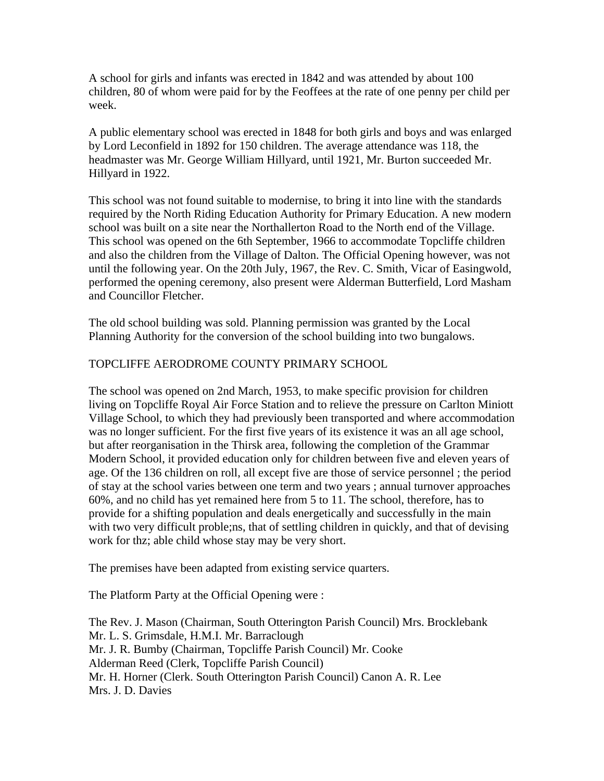A school for girls and infants was erected in 1842 and was attended by about 100 children, 80 of whom were paid for by the Feoffees at the rate of one penny per child per week.

A public elementary school was erected in 1848 for both girls and boys and was enlarged by Lord Leconfield in 1892 for 150 children. The average attendance was 118, the headmaster was Mr. George William Hillyard, until 1921, Mr. Burton succeeded Mr. Hillyard in 1922.

This school was not found suitable to modernise, to bring it into line with the standards required by the North Riding Education Authority for Primary Education. A new modern school was built on a site near the Northallerton Road to the North end of the Village. This school was opened on the 6th September, 1966 to accommodate Topcliffe children and also the children from the Village of Dalton. The Official Opening however, was not until the following year. On the 20th July, 1967, the Rev. C. Smith, Vicar of Easingwold, performed the opening ceremony, also present were Alderman Butterfield, Lord Masham and Councillor Fletcher.

The old school building was sold. Planning permission was granted by the Local Planning Authority for the conversion of the school building into two bungalows.

# TOPCLIFFE AERODROME COUNTY PRIMARY SCHOOL

The school was opened on 2nd March, 1953, to make specific provision for children living on Topcliffe Royal Air Force Station and to relieve the pressure on Carlton Miniott Village School, to which they had previously been transported and where accommodation was no longer sufficient. For the first five years of its existence it was an all age school, but after reorganisation in the Thirsk area, following the completion of the Grammar Modern School, it provided education only for children between five and eleven years of age. Of the 136 children on roll, all except five are those of service personnel ; the period of stay at the school varies between one term and two years ; annual turnover approaches 60%, and no child has yet remained here from 5 to 11. The school, therefore, has to provide for a shifting population and deals energetically and successfully in the main with two very difficult proble;ns, that of settling children in quickly, and that of devising work for thz; able child whose stay may be very short.

The premises have been adapted from existing service quarters.

The Platform Party at the Official Opening were :

The Rev. J. Mason (Chairman, South Otterington Parish Council) Mrs. Brocklebank Mr. L. S. Grimsdale, H.M.I. Mr. Barraclough Mr. J. R. Bumby (Chairman, Topcliffe Parish Council) Mr. Cooke Alderman Reed (Clerk, Topcliffe Parish Council) Mr. H. Horner (Clerk. South Otterington Parish Council) Canon A. R. Lee Mrs. J. D. Davies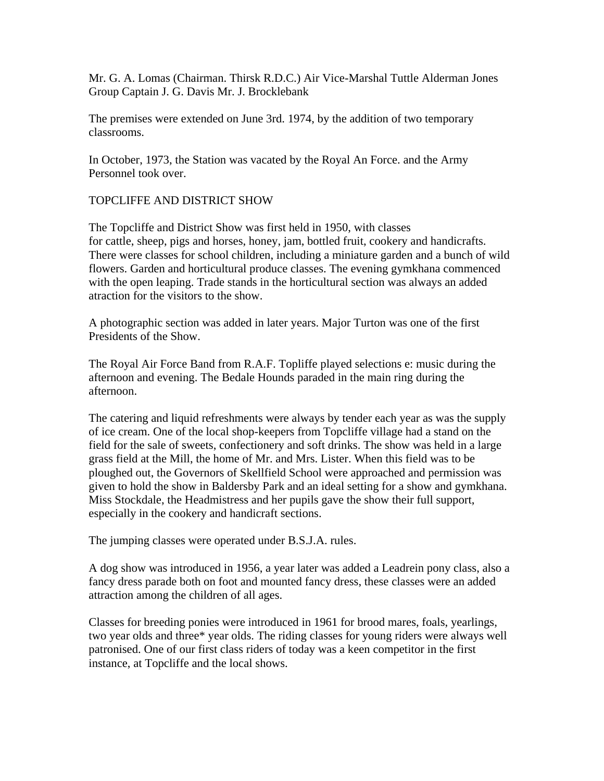Mr. G. A. Lomas (Chairman. Thirsk R.D.C.) Air Vice-Marshal Tuttle Alderman Jones Group Captain J. G. Davis Mr. J. Brocklebank

The premises were extended on June 3rd. 1974, by the addition of two temporary classrooms.

In October, 1973, the Station was vacated by the Royal An Force. and the Army Personnel took over.

# TOPCLIFFE AND DISTRICT SHOW

The Topcliffe and District Show was first held in 1950, with classes for cattle, sheep, pigs and horses, honey, jam, bottled fruit, cookery and handicrafts. There were classes for school children, including a miniature garden and a bunch of wild flowers. Garden and horticultural produce classes. The evening gymkhana commenced with the open leaping. Trade stands in the horticultural section was always an added atraction for the visitors to the show.

A photographic section was added in later years. Major Turton was one of the first Presidents of the Show.

The Royal Air Force Band from R.A.F. Topliffe played selections e: music during the afternoon and evening. The Bedale Hounds paraded in the main ring during the afternoon.

The catering and liquid refreshments were always by tender each year as was the supply of ice cream. One of the local shop-keepers from Topcliffe village had a stand on the field for the sale of sweets, confectionery and soft drinks. The show was held in a large grass field at the Mill, the home of Mr. and Mrs. Lister. When this field was to be ploughed out, the Governors of Skellfield School were approached and permission was given to hold the show in Baldersby Park and an ideal setting for a show and gymkhana. Miss Stockdale, the Headmistress and her pupils gave the show their full support, especially in the cookery and handicraft sections.

The jumping classes were operated under B.S.J.A. rules.

A dog show was introduced in 1956, a year later was added a Leadrein pony class, also a fancy dress parade both on foot and mounted fancy dress, these classes were an added attraction among the children of all ages.

Classes for breeding ponies were introduced in 1961 for brood mares, foals, yearlings, two year olds and three\* year olds. The riding classes for young riders were always well patronised. One of our first class riders of today was a keen competitor in the first instance, at Topcliffe and the local shows.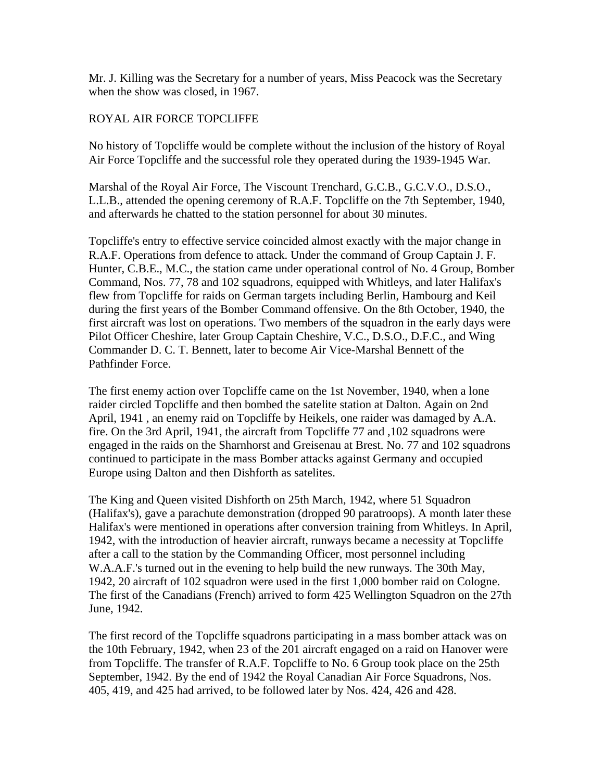Mr. J. Killing was the Secretary for a number of years, Miss Peacock was the Secretary when the show was closed, in 1967.

# ROYAL AIR FORCE TOPCLIFFE

No history of Topcliffe would be complete without the inclusion of the history of Royal Air Force Topcliffe and the successful role they operated during the 1939-1945 War.

Marshal of the Royal Air Force, The Viscount Trenchard, G.C.B., G.C.V.O., D.S.O., L.L.B., attended the opening ceremony of R.A.F. Topcliffe on the 7th September, 1940, and afterwards he chatted to the station personnel for about 30 minutes.

Topcliffe's entry to effective service coincided almost exactly with the major change in R.A.F. Operations from defence to attack. Under the command of Group Captain J. F. Hunter, C.B.E., M.C., the station came under operational control of No. 4 Group, Bomber Command, Nos. 77, 78 and 102 squadrons, equipped with Whitleys, and later Halifax's flew from Topcliffe for raids on German targets including Berlin, Hambourg and Keil during the first years of the Bomber Command offensive. On the 8th October, 1940, the first aircraft was lost on operations. Two members of the squadron in the early days were Pilot Officer Cheshire, later Group Captain Cheshire, V.C., D.S.O., D.F.C., and Wing Commander D. C. T. Bennett, later to become Air Vice-Marshal Bennett of the Pathfinder Force.

The first enemy action over Topcliffe came on the 1st November, 1940, when a lone raider circled Topcliffe and then bombed the satelite station at Dalton. Again on 2nd April, 1941 , an enemy raid on Topcliffe by Heikels, one raider was damaged by A.A. fire. On the 3rd April, 1941, the aircraft from Topcliffe 77 and ,102 squadrons were engaged in the raids on the Sharnhorst and Greisenau at Brest. No. 77 and 102 squadrons continued to participate in the mass Bomber attacks against Germany and occupied Europe using Dalton and then Dishforth as satelites.

The King and Queen visited Dishforth on 25th March, 1942, where 51 Squadron (Halifax's), gave a parachute demonstration (dropped 90 paratroops). A month later these Halifax's were mentioned in operations after conversion training from Whitleys. In April, 1942, with the introduction of heavier aircraft, runways became a necessity at Topcliffe after a call to the station by the Commanding Officer, most personnel including W.A.A.F.'s turned out in the evening to help build the new runways. The 30th May, 1942, 20 aircraft of 102 squadron were used in the first 1,000 bomber raid on Cologne. The first of the Canadians (French) arrived to form 425 Wellington Squadron on the 27th June, 1942.

The first record of the Topcliffe squadrons participating in a mass bomber attack was on the 10th February, 1942, when 23 of the 201 aircraft engaged on a raid on Hanover were from Topcliffe. The transfer of R.A.F. Topcliffe to No. 6 Group took place on the 25th September, 1942. By the end of 1942 the Royal Canadian Air Force Squadrons, Nos. 405, 419, and 425 had arrived, to be followed later by Nos. 424, 426 and 428.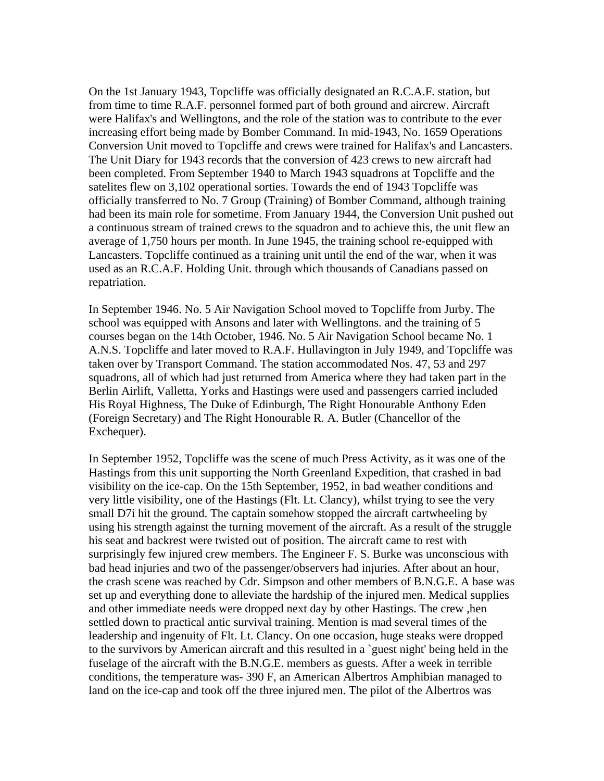On the 1st January 1943, Topcliffe was officially designated an R.C.A.F. station, but from time to time R.A.F. personnel formed part of both ground and aircrew. Aircraft were Halifax's and Wellingtons, and the role of the station was to contribute to the ever increasing effort being made by Bomber Command. In mid-1943, No. 1659 Operations Conversion Unit moved to Topcliffe and crews were trained for Halifax's and Lancasters. The Unit Diary for 1943 records that the conversion of 423 crews to new aircraft had been completed. From September 1940 to March 1943 squadrons at Topcliffe and the satelites flew on 3,102 operational sorties. Towards the end of 1943 Topcliffe was officially transferred to No. 7 Group (Training) of Bomber Command, although training had been its main role for sometime. From January 1944, the Conversion Unit pushed out a continuous stream of trained crews to the squadron and to achieve this, the unit flew an average of 1,750 hours per month. In June 1945, the training school re-equipped with Lancasters. Topcliffe continued as a training unit until the end of the war, when it was used as an R.C.A.F. Holding Unit. through which thousands of Canadians passed on repatriation.

In September 1946. No. 5 Air Navigation School moved to Topcliffe from Jurby. The school was equipped with Ansons and later with Wellingtons. and the training of 5 courses began on the 14th October, 1946. No. 5 Air Navigation School became No. 1 A.N.S. Topcliffe and later moved to R.A.F. Hullavington in July 1949, and Topcliffe was taken over by Transport Command. The station accommodated Nos. 47, 53 and 297 squadrons, all of which had just returned from America where they had taken part in the Berlin Airlift, Valletta, Yorks and Hastings were used and passengers carried included His Royal Highness, The Duke of Edinburgh, The Right Honourable Anthony Eden (Foreign Secretary) and The Right Honourable R. A. Butler (Chancellor of the Exchequer).

In September 1952, Topcliffe was the scene of much Press Activity, as it was one of the Hastings from this unit supporting the North Greenland Expedition, that crashed in bad visibility on the ice-cap. On the 15th September, 1952, in bad weather conditions and very little visibility, one of the Hastings (Flt. Lt. Clancy), whilst trying to see the very small D7i hit the ground. The captain somehow stopped the aircraft cartwheeling by using his strength against the turning movement of the aircraft. As a result of the struggle his seat and backrest were twisted out of position. The aircraft came to rest with surprisingly few injured crew members. The Engineer F. S. Burke was unconscious with bad head injuries and two of the passenger/observers had injuries. After about an hour, the crash scene was reached by Cdr. Simpson and other members of B.N.G.E. A base was set up and everything done to alleviate the hardship of the injured men. Medical supplies and other immediate needs were dropped next day by other Hastings. The crew ,hen settled down to practical antic survival training. Mention is mad several times of the leadership and ingenuity of Flt. Lt. Clancy. On one occasion, huge steaks were dropped to the survivors by American aircraft and this resulted in a `guest night' being held in the fuselage of the aircraft with the B.N.G.E. members as guests. After a week in terrible conditions, the temperature was- 390 F, an American Albertros Amphibian managed to land on the ice-cap and took off the three injured men. The pilot of the Albertros was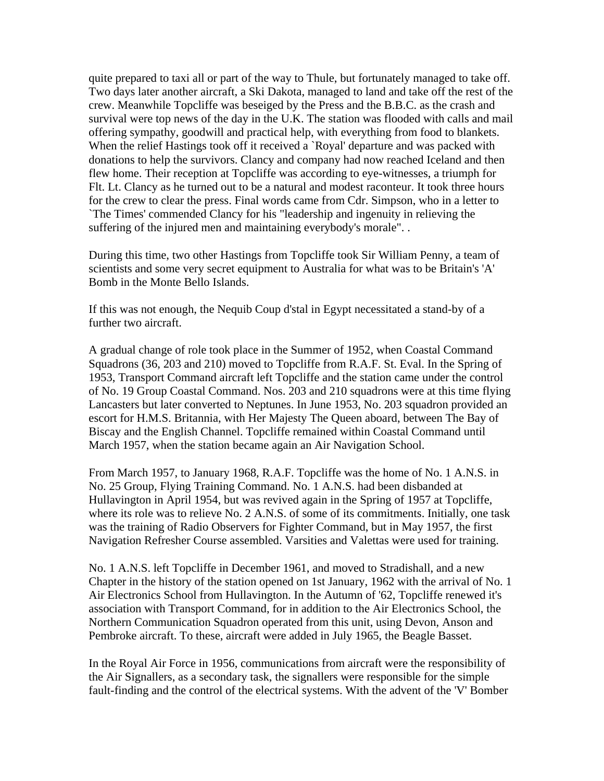quite prepared to taxi all or part of the way to Thule, but fortunately managed to take off. Two days later another aircraft, a Ski Dakota, managed to land and take off the rest of the crew. Meanwhile Topcliffe was beseiged by the Press and the B.B.C. as the crash and survival were top news of the day in the U.K. The station was flooded with calls and mail offering sympathy, goodwill and practical help, with everything from food to blankets. When the relief Hastings took off it received a `Royal' departure and was packed with donations to help the survivors. Clancy and company had now reached Iceland and then flew home. Their reception at Topcliffe was according to eye-witnesses, a triumph for Flt. Lt. Clancy as he turned out to be a natural and modest raconteur. It took three hours for the crew to clear the press. Final words came from Cdr. Simpson, who in a letter to `The Times' commended Clancy for his "leadership and ingenuity in relieving the suffering of the injured men and maintaining everybody's morale". .

During this time, two other Hastings from Topcliffe took Sir William Penny, a team of scientists and some very secret equipment to Australia for what was to be Britain's 'A' Bomb in the Monte Bello Islands.

If this was not enough, the Nequib Coup d'stal in Egypt necessitated a stand-by of a further two aircraft.

A gradual change of role took place in the Summer of 1952, when Coastal Command Squadrons (36, 203 and 210) moved to Topcliffe from R.A.F. St. Eval. In the Spring of 1953, Transport Command aircraft left Topcliffe and the station came under the control of No. 19 Group Coastal Command. Nos. 203 and 210 squadrons were at this time flying Lancasters but later converted to Neptunes. In June 1953, No. 203 squadron provided an escort for H.M.S. Britannia, with Her Majesty The Queen aboard, between The Bay of Biscay and the English Channel. Topcliffe remained within Coastal Command until March 1957, when the station became again an Air Navigation School.

From March 1957, to January 1968, R.A.F. Topcliffe was the home of No. 1 A.N.S. in No. 25 Group, Flying Training Command. No. 1 A.N.S. had been disbanded at Hullavington in April 1954, but was revived again in the Spring of 1957 at Topcliffe, where its role was to relieve No. 2 A.N.S. of some of its commitments. Initially, one task was the training of Radio Observers for Fighter Command, but in May 1957, the first Navigation Refresher Course assembled. Varsities and Valettas were used for training.

No. 1 A.N.S. left Topcliffe in December 1961, and moved to Stradishall, and a new Chapter in the history of the station opened on 1st January, 1962 with the arrival of No. 1 Air Electronics School from Hullavington. In the Autumn of '62, Topcliffe renewed it's association with Transport Command, for in addition to the Air Electronics School, the Northern Communication Squadron operated from this unit, using Devon, Anson and Pembroke aircraft. To these, aircraft were added in July 1965, the Beagle Basset.

In the Royal Air Force in 1956, communications from aircraft were the responsibility of the Air Signallers, as a secondary task, the signallers were responsible for the simple fault-finding and the control of the electrical systems. With the advent of the 'V' Bomber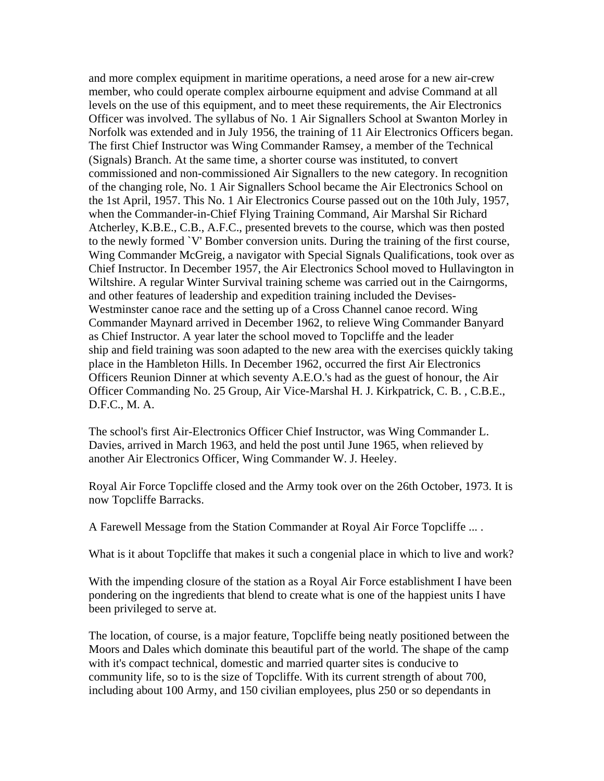and more complex equipment in maritime operations, a need arose for a new air-crew member, who could operate complex airbourne equipment and advise Command at all levels on the use of this equipment, and to meet these requirements, the Air Electronics Officer was involved. The syllabus of No. 1 Air Signallers School at Swanton Morley in Norfolk was extended and in July 1956, the training of 11 Air Electronics Officers began. The first Chief Instructor was Wing Commander Ramsey, a member of the Technical (Signals) Branch. At the same time, a shorter course was instituted, to convert commissioned and non-commissioned Air Signallers to the new category. In recognition of the changing role, No. 1 Air Signallers School became the Air Electronics School on the 1st April, 1957. This No. 1 Air Electronics Course passed out on the 10th July, 1957, when the Commander-in-Chief Flying Training Command, Air Marshal Sir Richard Atcherley, K.B.E., C.B., A.F.C., presented brevets to the course, which was then posted to the newly formed `V' Bomber conversion units. During the training of the first course, Wing Commander McGreig, a navigator with Special Signals Qualifications, took over as Chief Instructor. In December 1957, the Air Electronics School moved to Hullavington in Wiltshire. A regular Winter Survival training scheme was carried out in the Cairngorms, and other features of leadership and expedition training included the Devises-Westminster canoe race and the setting up of a Cross Channel canoe record. Wing Commander Maynard arrived in December 1962, to relieve Wing Commander Banyard as Chief Instructor. A year later the school moved to Topcliffe and the leader ship and field training was soon adapted to the new area with the exercises quickly taking place in the Hambleton Hills. In December 1962, occurred the first Air Electronics Officers Reunion Dinner at which seventy A.E.O.'s had as the guest of honour, the Air Officer Commanding No. 25 Group, Air Vice-Marshal H. J. Kirkpatrick, C. B. , C.B.E., D.F.C., M. A.

The school's first Air-Electronics Officer Chief Instructor, was Wing Commander L. Davies, arrived in March 1963, and held the post until June 1965, when relieved by another Air Electronics Officer, Wing Commander W. J. Heeley.

Royal Air Force Topcliffe closed and the Army took over on the 26th October, 1973. It is now Topcliffe Barracks.

A Farewell Message from the Station Commander at Royal Air Force Topcliffe ... .

What is it about Topcliffe that makes it such a congenial place in which to live and work?

With the impending closure of the station as a Royal Air Force establishment I have been pondering on the ingredients that blend to create what is one of the happiest units I have been privileged to serve at.

The location, of course, is a major feature, Topcliffe being neatly positioned between the Moors and Dales which dominate this beautiful part of the world. The shape of the camp with it's compact technical, domestic and married quarter sites is conducive to community life, so to is the size of Topcliffe. With its current strength of about 700, including about 100 Army, and 150 civilian employees, plus 250 or so dependants in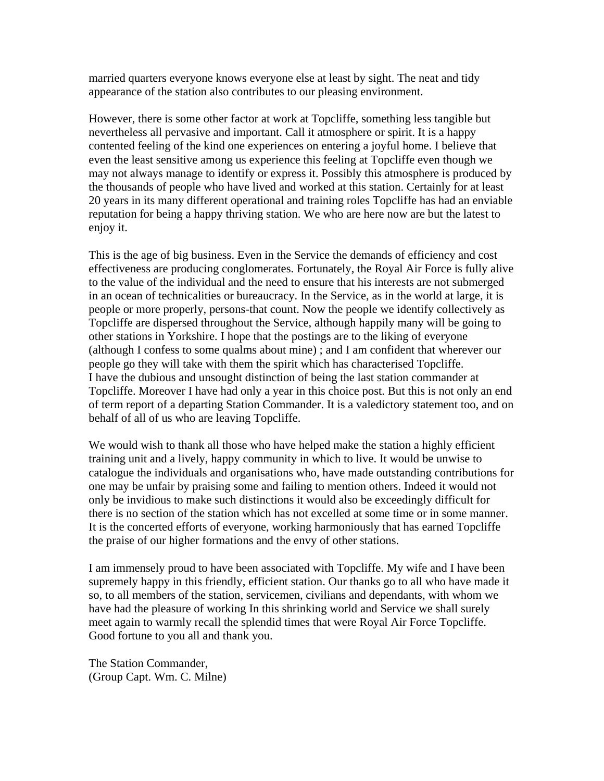married quarters everyone knows everyone else at least by sight. The neat and tidy appearance of the station also contributes to our pleasing environment.

However, there is some other factor at work at Topcliffe, something less tangible but nevertheless all pervasive and important. Call it atmosphere or spirit. It is a happy contented feeling of the kind one experiences on entering a joyful home. I believe that even the least sensitive among us experience this feeling at Topcliffe even though we may not always manage to identify or express it. Possibly this atmosphere is produced by the thousands of people who have lived and worked at this station. Certainly for at least 20 years in its many different operational and training roles Topcliffe has had an enviable reputation for being a happy thriving station. We who are here now are but the latest to enjoy it.

This is the age of big business. Even in the Service the demands of efficiency and cost effectiveness are producing conglomerates. Fortunately, the Royal Air Force is fully alive to the value of the individual and the need to ensure that his interests are not submerged in an ocean of technicalities or bureaucracy. In the Service, as in the world at large, it is people or more properly, persons-that count. Now the people we identify collectively as Topcliffe are dispersed throughout the Service, although happily many will be going to other stations in Yorkshire. I hope that the postings are to the liking of everyone (although I confess to some qualms about mine) ; and I am confident that wherever our people go they will take with them the spirit which has characterised Topcliffe. I have the dubious and unsought distinction of being the last station commander at Topcliffe. Moreover I have had only a year in this choice post. But this is not only an end of term report of a departing Station Commander. It is a valedictory statement too, and on behalf of all of us who are leaving Topcliffe.

We would wish to thank all those who have helped make the station a highly efficient training unit and a lively, happy community in which to live. It would be unwise to catalogue the individuals and organisations who, have made outstanding contributions for one may be unfair by praising some and failing to mention others. Indeed it would not only be invidious to make such distinctions it would also be exceedingly difficult for there is no section of the station which has not excelled at some time or in some manner. It is the concerted efforts of everyone, working harmoniously that has earned Topcliffe the praise of our higher formations and the envy of other stations.

I am immensely proud to have been associated with Topcliffe. My wife and I have been supremely happy in this friendly, efficient station. Our thanks go to all who have made it so, to all members of the station, servicemen, civilians and dependants, with whom we have had the pleasure of working In this shrinking world and Service we shall surely meet again to warmly recall the splendid times that were Royal Air Force Topcliffe. Good fortune to you all and thank you.

The Station Commander, (Group Capt. Wm. C. Milne)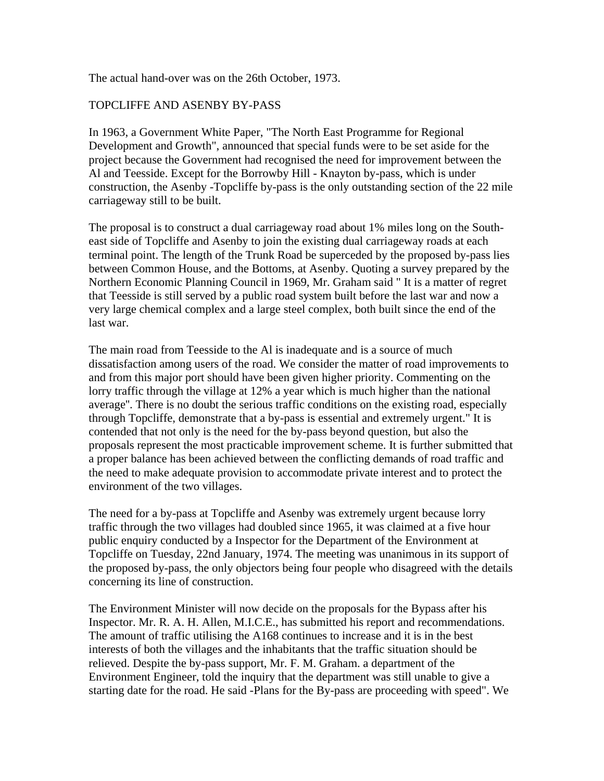The actual hand-over was on the 26th October, 1973.

# TOPCLIFFE AND ASENBY BY-PASS

In 1963, a Government White Paper, "The North East Programme for Regional Development and Growth", announced that special funds were to be set aside for the project because the Government had recognised the need for improvement between the Al and Teesside. Except for the Borrowby Hill - Knayton by-pass, which is under construction, the Asenby -Topcliffe by-pass is the only outstanding section of the 22 mile carriageway still to be built.

The proposal is to construct a dual carriageway road about 1% miles long on the Southeast side of Topcliffe and Asenby to join the existing dual carriageway roads at each terminal point. The length of the Trunk Road be superceded by the proposed by-pass lies between Common House, and the Bottoms, at Asenby. Quoting a survey prepared by the Northern Economic Planning Council in 1969, Mr. Graham said " It is a matter of regret that Teesside is still served by a public road system built before the last war and now a very large chemical complex and a large steel complex, both built since the end of the last war.

The main road from Teesside to the Al is inadequate and is a source of much dissatisfaction among users of the road. We consider the matter of road improvements to and from this major port should have been given higher priority. Commenting on the lorry traffic through the village at 12% a year which is much higher than the national average''. There is no doubt the serious traffic conditions on the existing road, especially through Topcliffe, demonstrate that a by-pass is essential and extremely urgent." It is contended that not only is the need for the by-pass beyond question, but also the proposals represent the most practicable improvement scheme. It is further submitted that a proper balance has been achieved between the conflicting demands of road traffic and the need to make adequate provision to accommodate private interest and to protect the environment of the two villages.

The need for a by-pass at Topcliffe and Asenby was extremely urgent because lorry traffic through the two villages had doubled since 1965, it was claimed at a five hour public enquiry conducted by a Inspector for the Department of the Environment at Topcliffe on Tuesday, 22nd January, 1974. The meeting was unanimous in its support of the proposed by-pass, the only objectors being four people who disagreed with the details concerning its line of construction.

The Environment Minister will now decide on the proposals for the Bypass after his Inspector. Mr. R. A. H. Allen, M.I.C.E., has submitted his report and recommendations. The amount of traffic utilising the A168 continues to increase and it is in the best interests of both the villages and the inhabitants that the traffic situation should be relieved. Despite the by-pass support, Mr. F. M. Graham. a department of the Environment Engineer, told the inquiry that the department was still unable to give a starting date for the road. He said -Plans for the By-pass are proceeding with speed". We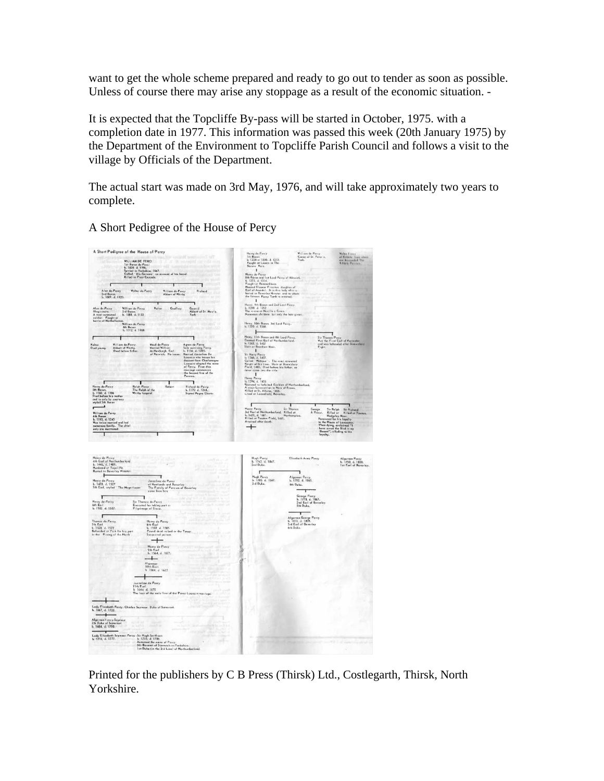want to get the whole scheme prepared and ready to go out to tender as soon as possible. Unless of course there may arise any stoppage as a result of the economic situation. -

It is expected that the Topcliffe By-pass will be started in October, 1975. with a completion date in 1977. This information was passed this week (20th January 1975) by the Department of the Environment to Topcliffe Parish Council and follows a visit to the village by Officials of the Department.

The actual start was made on 3rd May, 1976, and will take approximately two years to complete.

A Short Pedigree of the House of Percy

| A Short Pedigree of the House of Percy                                                                                                                                                                                                                                                                                                                                                                                                                                                                                                                                                                                                                                                                                                           | .<br>Villiam de Percy<br>Conon of St. Peter's,                                                                                                                                                                                                                                                                                                                                                                                                      |
|--------------------------------------------------------------------------------------------------------------------------------------------------------------------------------------------------------------------------------------------------------------------------------------------------------------------------------------------------------------------------------------------------------------------------------------------------------------------------------------------------------------------------------------------------------------------------------------------------------------------------------------------------------------------------------------------------------------------------------------------------|-----------------------------------------------------------------------------------------------------------------------------------------------------------------------------------------------------------------------------------------------------------------------------------------------------------------------------------------------------------------------------------------------------------------------------------------------------|
| WILLIAM DE PERCI<br>1st Boron de Perci<br>1s. 1030 : d. 1996.<br>Settled in Yorkshire, 1067.<br>Colled <sup>1</sup> Als-Germann : on account of his board.<br>Killed in First Crosode.<br>STORE anterprint a laterally                                                                                                                                                                                                                                                                                                                                                                                                                                                                                                                           | Henry de Percy<br>7th Baron<br>16 1228 or 1230, d. 1272.<br>Fought at Lewes in The<br>Borons Wars.<br>Walter Forey<br>of Kristein, <i>from who</i><br>get desarroled The<br>Kildah: Pareies<br>York<br>$\blacksquare$                                                                                                                                                                                                                               |
|                                                                                                                                                                                                                                                                                                                                                                                                                                                                                                                                                                                                                                                                                                                                                  | Henry de-Parcy<br>8th Baton and 1st Lard Percy of Almeick.<br>6. 1272, d. 1314.<br>Fought at Banoackburn.                                                                                                                                                                                                                                                                                                                                           |
| Alan de-Percy<br>2nd Baron.<br>b. 1069. d. 1120.<br>Walter de-Percy<br><b>William de-Percy</b><br>Abbott of Whitby<br>Richard                                                                                                                                                                                                                                                                                                                                                                                                                                                                                                                                                                                                                    | Natriud Eleanor Fitzalon. doughter of<br>Earl of Arundel. It is this lady who is<br>boried in Beverley Minster, and to whom<br>the foreous Percy Tomb is erected.                                                                                                                                                                                                                                                                                   |
| ٢                                                                                                                                                                                                                                                                                                                                                                                                                                                                                                                                                                                                                                                                                                                                                | $\blacksquare$                                                                                                                                                                                                                                                                                                                                                                                                                                      |
| Alon de-Percy<br>Illegitimate,<br>A most renowned<br>soldier. Fought at<br>battle of Northallerta<br>William de-Percy<br>3rd Baron.<br>b. 1088, d. 1133<br>Geoffrey<br>Gostrid<br>Walter<br>Abbott of St. Mary's,<br>York<br>William de-Percy<br>4th Baron<br>b. 1112, d. 1168.                                                                                                                                                                                                                                                                                                                                                                                                                                                                  | Henry, 9th Boron and 2nd Lord Porcy<br>b. 1299, d. 1352<br>The victor at Novilla x Grass.<br>Numerous children. but only the beir given.<br>$\blacksquare$<br>Henry, 10th Baron. 3rd Lord Percy.<br>b. 1320 d. 1368.                                                                                                                                                                                                                                |
|                                                                                                                                                                                                                                                                                                                                                                                                                                                                                                                                                                                                                                                                                                                                                  | ï                                                                                                                                                                                                                                                                                                                                                                                                                                                   |
| ľ<br>William de-Percy<br>Abbott of Whitby.<br>Died before father.<br>Maud de-Percy<br>Married William<br>de-Newburgh, Earl<br>af Warwick, No issue.<br>Agnes de Percy<br>Sole surviving Percy.<br>b. 1134: d. 1205.<br>Married Josceline De<br>Walter<br>Died young<br>Louvain who traces his<br>descent from Charlemagne<br>descent from Charlemagne<br>Louvain adopted the name<br>of Percy. From this<br>marriage commences<br>the Second line of the<br>Percies.                                                                                                                                                                                                                                                                             | Henry, 11th Baron and 4th Lord Percy.<br><b>Sir Thomas Percy<br/>Was the First Earl of Warcheler</b><br>Created First Earl of Northumberland.<br>h. 1342. d. 1407<br>Sloin at Bramham Moor.<br>and was beheaded after Shrewsbury<br>Fight.<br>$\blacksquare$                                                                                                                                                                                        |
| ٦                                                                                                                                                                                                                                                                                                                                                                                                                                                                                                                                                                                                                                                                                                                                                | τ.                                                                                                                                                                                                                                                                                                                                                                                                                                                  |
| ı<br>Henry de-Percy<br>5th Baron.<br>b. 1160, d. 1196<br>Rolph Percy<br>The Ralph of the<br>Robert<br>Richard de-Percy<br>b. 1170 d. 1244.<br>Whitby Legend<br>Signed Magna Charte<br>Died before his mother<br>and is only by courtesy<br>styled 5th Baron                                                                                                                                                                                                                                                                                                                                                                                                                                                                                      | Henry Percy<br>Raid J. 1445<br>Reatorud to lotfeited Earldom of Northumberland,<br>A stout Loncoatrian in Naza of Roses.<br>A Killed or Sr. Albans, 1455.<br>Lived at Locoatlietd, Beverley.                                                                                                                                                                                                                                                        |
| $\overline{\phantom{0}}$                                                                                                                                                                                                                                                                                                                                                                                                                                                                                                                                                                                                                                                                                                                         | г<br>Sir Ralph<br>Killed at<br>George<br>Sir Richard                                                                                                                                                                                                                                                                                                                                                                                                |
| William de-Percy<br>with Baron<br>b. 1193, d. 1245<br>Was twice interiod and had<br>mumerous family. The chief<br>only are montioned.                                                                                                                                                                                                                                                                                                                                                                                                                                                                                                                                                                                                            | <b>Henry Percy Sir Thomas</b><br>3rd Earl of Narthumberland, Killed at<br>6. 1421, d. 1461.<br>Killed at Tavrian Field, 1461.<br>Attained after death,<br>A Priest.<br>Killed at Towton<br>iest. Killed at Killed a<br>Renowned for his layalty<br>Renowned for his layalty<br>to the Hauss of Lancaster.<br>When dying, exclaimed "I<br>hove saved the Bird in my<br>Bosson", alluding to his<br>Bosson", alluding to his<br>$\ddot{}$<br>loyalty. |
|                                                                                                                                                                                                                                                                                                                                                                                                                                                                                                                                                                                                                                                                                                                                                  |                                                                                                                                                                                                                                                                                                                                                                                                                                                     |
| Henry de Percy<br>4th Earl of Nathumberland<br>5. 1446, d. 1489.<br>Mundered at Topeliffe<br>Buried in Beverley Minster.<br>$\ddot{r}$<br>٦<br>Henry de Percy<br>Josceline de Percy<br>b. 1478. d. 1527<br>5th Earl, styled "The Magnificent<br>of Newlands and Beverley<br>The Family of Percurs of Beverley<br>come from him.<br>1<br>Henry de-Porcy<br>6th Earl<br>b. 1502 d. 1537.<br>Sir Thomas do-Percy<br>Executed for taking part in<br>Pilgrimage of Groce.<br>ľ<br>Thomas de-Percy<br>7th Earl<br>Henry de Percy<br>8th Earl<br>ren kars<br>Beheaded at York for his part<br>In the Rising of the North<br>b. 1532 d. 1585.<br>Found dead in bed in the Tower.<br>Suspected poison.<br>Henry de Percy<br>9th Earl<br>b. 1564, d. 1632. | Hugh Percy<br>b. 1742. d. 1847.<br>Elizabeth Anne Parcy<br>Algerman Percy<br>b. 1750, d. 1830.<br>1st Earl of Beverley.<br>2nd Duke.<br>Ţ<br>٦<br>Hugh Percy<br>b. 1785. d. 1847.<br><b>Algernan Percy</b><br>b. 1792, d. 1865.<br>3rd Duke.<br>4th Duke.<br>George Percy<br>b. 1778, d. 1867.<br>2nd Earl of Beverley<br>5th Duke,<br>Algerman George Percy<br>b. 1810, d. 1899.<br>3rd Earl of Beverley<br>6th Duke.                              |
|                                                                                                                                                                                                                                                                                                                                                                                                                                                                                                                                                                                                                                                                                                                                                  |                                                                                                                                                                                                                                                                                                                                                                                                                                                     |
| Algernon<br>10th Earl<br>b 1564 d 1632                                                                                                                                                                                                                                                                                                                                                                                                                                                                                                                                                                                                                                                                                                           |                                                                                                                                                                                                                                                                                                                                                                                                                                                     |
| Josceline de Percy                                                                                                                                                                                                                                                                                                                                                                                                                                                                                                                                                                                                                                                                                                                               |                                                                                                                                                                                                                                                                                                                                                                                                                                                     |
| 11th Earl<br>li 1664 d. 1670<br>The last of the male line of the Percy Louvain marriage.                                                                                                                                                                                                                                                                                                                                                                                                                                                                                                                                                                                                                                                         |                                                                                                                                                                                                                                                                                                                                                                                                                                                     |
|                                                                                                                                                                                                                                                                                                                                                                                                                                                                                                                                                                                                                                                                                                                                                  |                                                                                                                                                                                                                                                                                                                                                                                                                                                     |
| Lady Elizabeth Percy - Charles Seymour. Duke of Samerset.<br>b. 1667, d. 1722.                                                                                                                                                                                                                                                                                                                                                                                                                                                                                                                                                                                                                                                                   |                                                                                                                                                                                                                                                                                                                                                                                                                                                     |
| Algernon + ercy-Seymour<br>7th Duke of Somerset<br>b. 1684, d. 1750.                                                                                                                                                                                                                                                                                                                                                                                                                                                                                                                                                                                                                                                                             |                                                                                                                                                                                                                                                                                                                                                                                                                                                     |
| $\begin{tabular}{ll} \textbf{Logy-Elizobeth Seymour Percy-Sic Hugh Sintham \\ \textbf{I}_0 & & 1776, & 1786, & 1786, & 1786, & 1786, & 1786, & 1776, & 176, & 1776, & 1776, & 1776, & 1776, & 1776, & 1776, & 1776, & 1776, & 1776, & 1776, & 1776, & 1776, & 1776, & 1776, & 1776, & 1776, & 1776, & 1776, & 1$                                                                                                                                                                                                                                                                                                                                                                                                                                 |                                                                                                                                                                                                                                                                                                                                                                                                                                                     |

Printed for the publishers by C B Press (Thirsk) Ltd., Costlegarth, Thirsk, North Yorkshire.